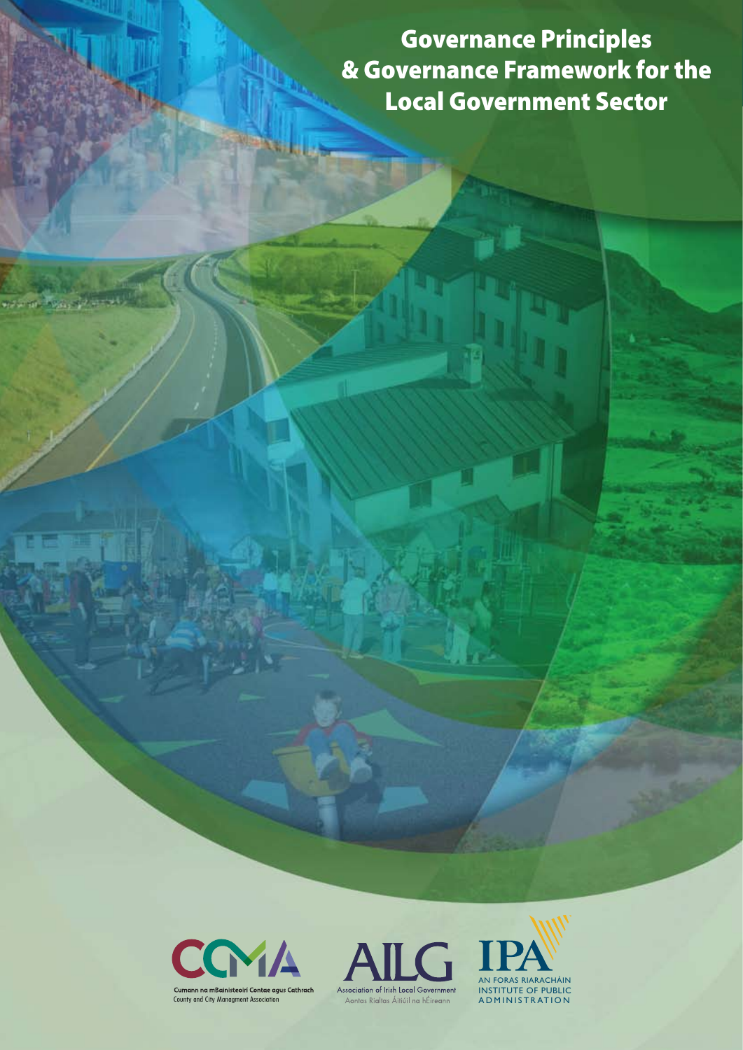Governance Principles & Governance Framework for the Local Government Sector



County and City Managment Association



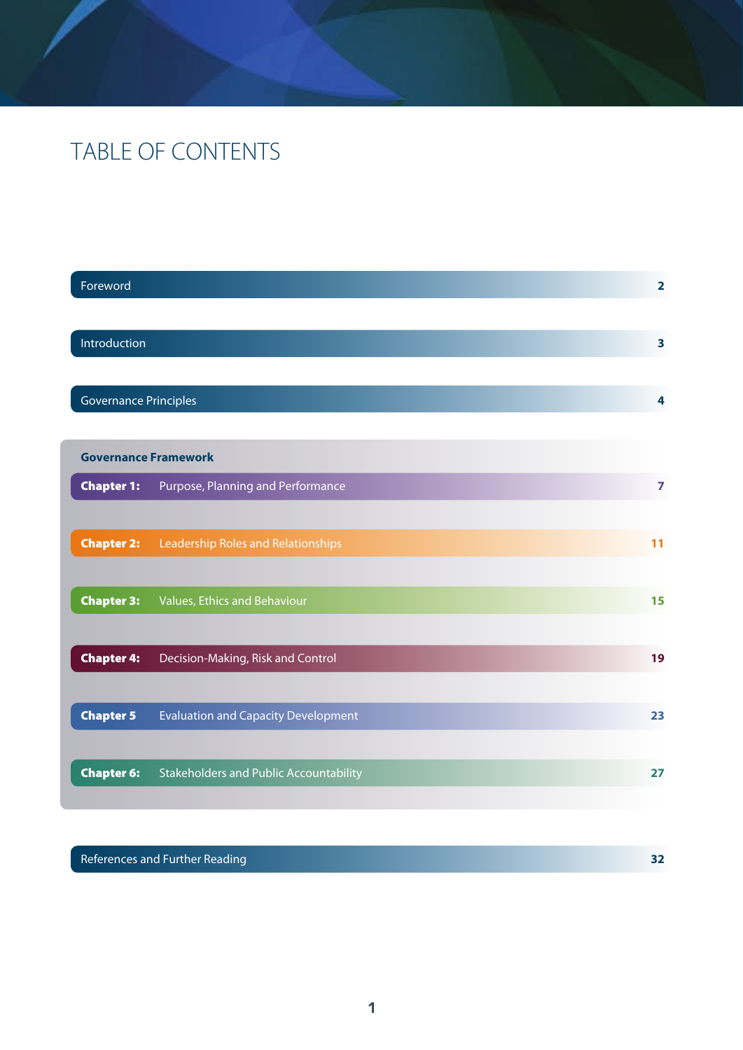## TABLE OF CONTENTS

| Foreword                     |                                               |                         |
|------------------------------|-----------------------------------------------|-------------------------|
| Introduction                 |                                               | $\overline{\mathbf{3}}$ |
|                              |                                               |                         |
| <b>Governance Principles</b> |                                               |                         |
|                              |                                               |                         |
|                              | <b>Governance Framework</b>                   |                         |
| <b>Chapter 1:</b>            | Purpose, Planning and Performance             | $\overline{7}$          |
|                              |                                               |                         |
| <b>Chapter 2:</b>            | Leadership Roles and Relationships            | 11                      |
|                              |                                               |                         |
| <b>Chapter 3:</b>            | Values, Ethics and Behaviour                  | 15                      |
|                              |                                               |                         |
| <b>Chapter 4:</b>            | Decision-Making, Risk and Control             | 19                      |
|                              |                                               |                         |
| <b>Chapter 5</b>             | <b>Evaluation and Capacity Development</b>    | 23                      |
|                              |                                               |                         |
| <b>Chapter 6:</b>            | <b>Stakeholders and Public Accountability</b> | 27                      |
|                              |                                               |                         |

| References and Further Reading | 32 |
|--------------------------------|----|
|                                |    |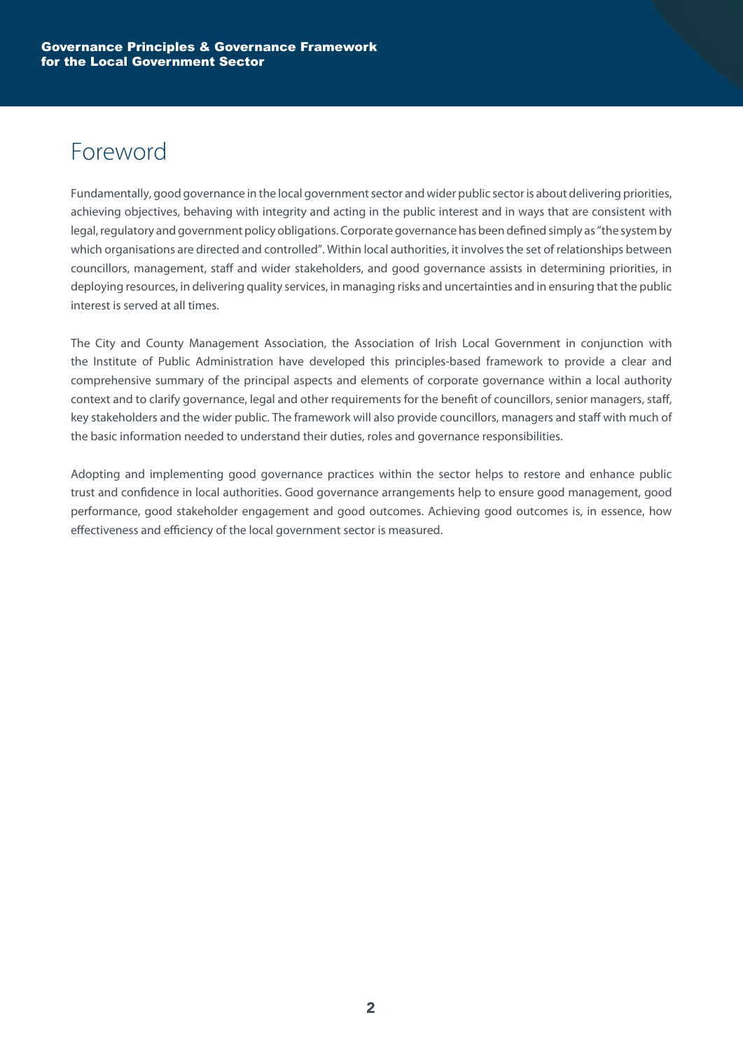## Foreword

Fundamentally, good governance in the local government sector and wider public sector is about delivering priorities, achieving objectives, behaving with integrity and acting in the public interest and in ways that are consistent with legal, regulatory and government policy obligations. Corporate governance has been defined simply as "the system by which organisations are directed and controlled". Within local authorities, it involves the set of relationships between councillors, management, staff and wider stakeholders, and good governance assists in determining priorities, in deploying resources, in delivering quality services, in managing risks and uncertainties and in ensuring that the public interest is served at all times.

The City and County Management Association, the Association of Irish Local Government in conjunction with the Institute of Public Administration have developed this principles-based framework to provide a clear and comprehensive summary of the principal aspects and elements of corporate governance within a local authority context and to clarify governance, legal and other requirements for the benefit of councillors, senior managers, staff, key stakeholders and the wider public. The framework will also provide councillors, managers and staff with much of the basic information needed to understand their duties, roles and governance responsibilities.

Adopting and implementing good governance practices within the sector helps to restore and enhance public trust and confidence in local authorities. Good governance arrangements help to ensure good management, good performance, good stakeholder engagement and good outcomes. Achieving good outcomes is, in essence, how effectiveness and efficiency of the local government sector is measured.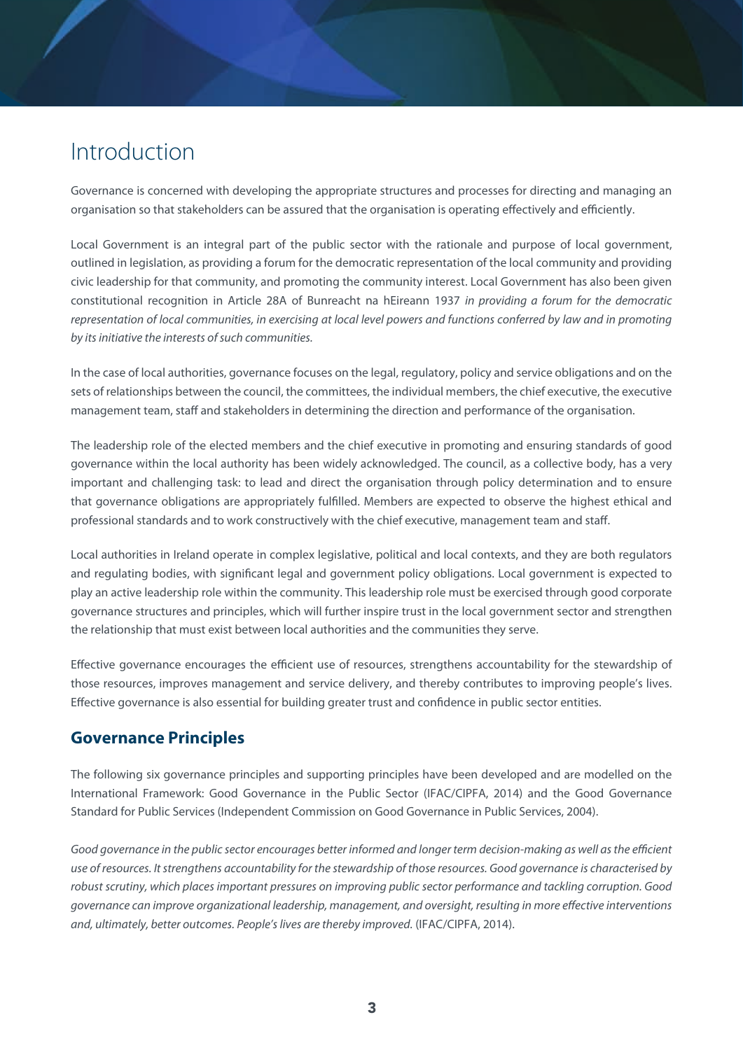## Introduction

Governance is concerned with developing the appropriate structures and processes for directing and managing an organisation so that stakeholders can be assured that the organisation is operating effectively and efficiently.

Local Government is an integral part of the public sector with the rationale and purpose of local government, outlined in legislation, as providing a forum for the democratic representation of the local community and providing civic leadership for that community, and promoting the community interest. Local Government has also been given constitutional recognition in Article 28A of Bunreacht na hEireann 1937 *in providing a forum for the democratic representation of local communities, in exercising at local level powers and functions conferred by law and in promoting by its initiative the interests of such communities.* 

In the case of local authorities, governance focuses on the legal, regulatory, policy and service obligations and on the sets of relationships between the council, the committees, the individual members, the chief executive, the executive management team, staff and stakeholders in determining the direction and performance of the organisation.

The leadership role of the elected members and the chief executive in promoting and ensuring standards of good governance within the local authority has been widely acknowledged. The council, as a collective body, has a very important and challenging task: to lead and direct the organisation through policy determination and to ensure that governance obligations are appropriately fulfilled. Members are expected to observe the highest ethical and professional standards and to work constructively with the chief executive, management team and staff.

Local authorities in Ireland operate in complex legislative, political and local contexts, and they are both regulators and regulating bodies, with significant legal and government policy obligations. Local government is expected to play an active leadership role within the community. This leadership role must be exercised through good corporate governance structures and principles, which will further inspire trust in the local government sector and strengthen the relationship that must exist between local authorities and the communities they serve.

Effective governance encourages the efficient use of resources, strengthens accountability for the stewardship of those resources, improves management and service delivery, and thereby contributes to improving people's lives. Effective governance is also essential for building greater trust and confidence in public sector entities.

## **Governance Principles**

The following six governance principles and supporting principles have been developed and are modelled on the International Framework: Good Governance in the Public Sector (IFAC/CIPFA, 2014) and the Good Governance Standard for Public Services (Independent Commission on Good Governance in Public Services, 2004).

*Good governance in the public sector encourages better informed and longer term decision-making as well as the efficient use of resources. It strengthens accountability for the stewardship of those resources. Good governance is characterised by robust scrutiny, which places important pressures on improving public sector performance and tackling corruption. Good governance can improve organizational leadership, management, and oversight, resulting in more effective interventions and, ultimately, better outcomes. People's lives are thereby improved.* (IFAC/CIPFA, 2014).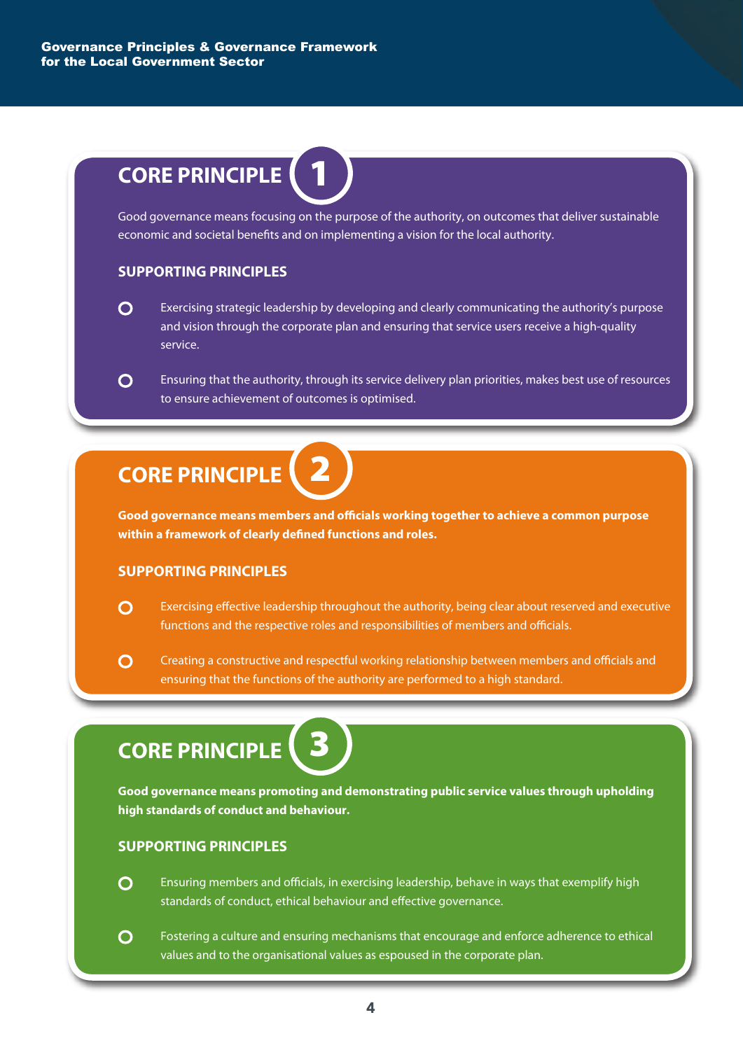Good governance means focusing on the purpose of the authority, on outcomes that deliver sustainable economic and societal benefits and on implementing a vision for the local authority.

#### **SUPPORTING PRINCIPLES**

- $\bigcirc$  Exercising strategic leadership by developing and clearly communicating the authority's purpose and vision through the corporate plan and ensuring that service users receive a high-quality service.
- $\bigcirc$  Ensuring that the authority, through its service delivery plan priorities, makes best use of resources to ensure achievement of outcomes is optimised.

# **CORE PRINCIPLE** 2

Good governance means members and officials working together to achieve a common purpose within a framework of clearly defined functions and roles.

#### **SUPPORTING PRINCIPLES**

- $\bigcirc$  Exercising effective leadership throughout the authority, being clear about reserved and executive functions and the respective roles and responsibilities of members and officials.
- $\bigcirc$  Creating a constructive and respectful working relationship between members and officials and ensuring that the functions of the authority are performed to a high standard.

## **CORE PRINCIPLE** 3

 **Good governance means promoting and demonstrating public service values through upholding high standards of conduct and behaviour.**

#### **SUPPORTING PRINCIPLES**

- **C** Ensuring members and officials, in exercising leadership, behave in ways that exemplify high standards of conduct, ethical behaviour and effective governance.
- $\Omega$  Fostering a culture and ensuring mechanisms that encourage and enforce adherence to ethical values and to the organisational values as espoused in the corporate plan.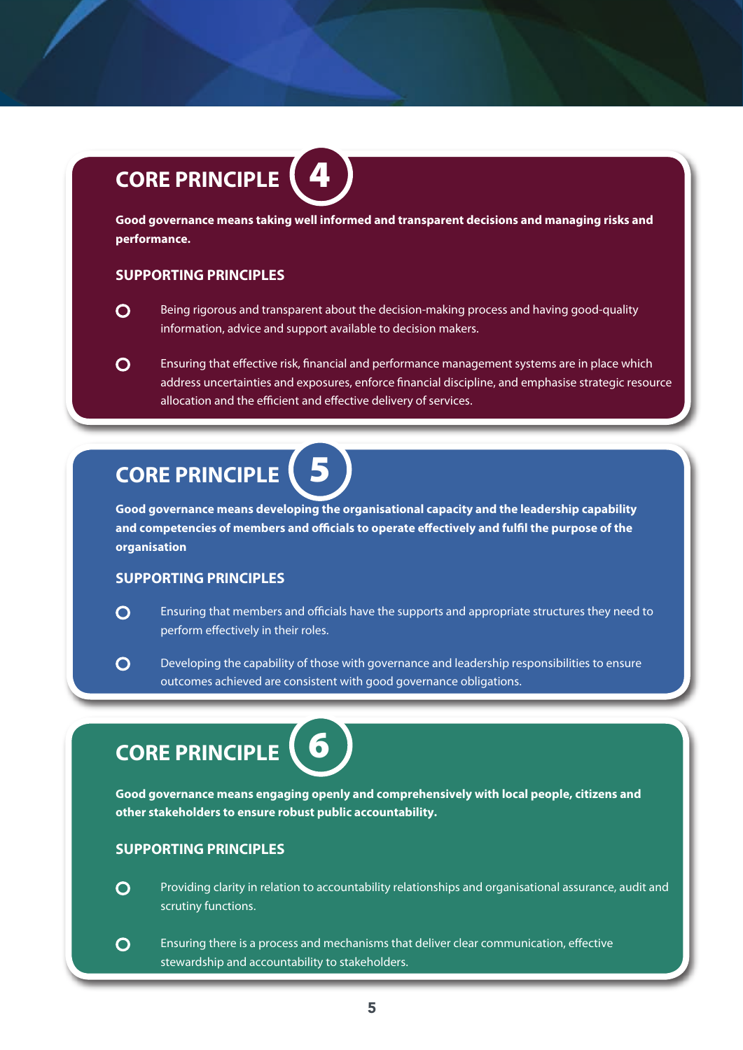**Good governance means taking well informed and transparent decisions and managing risks and performance.**

#### **SUPPORTING PRINCIPLES**

- $\Omega$  Being rigorous and transparent about the decision-making process and having good-quality information, advice and support available to decision makers.
- $\Omega$  Ensuring that effective risk, financial and performance management systems are in place which address uncertainties and exposures, enforce financial discipline, and emphasise strategic resource allocation and the efficient and effective delivery of services.

# **CORE PRINCIPLE** 5

 **Good governance means developing the organisational capacity and the leadership capability**  and competencies of members and officials to operate effectively and fulfil the purpose of the **organisation** 

#### **SUPPORTING PRINCIPLES**

- $\Omega$  Ensuring that members and officials have the supports and appropriate structures they need to perform effectively in their roles.
- $\bigcap$  Developing the capability of those with governance and leadership responsibilities to ensure outcomes achieved are consistent with good governance obligations.

# **CORE PRINCIPLE** (6

 **Good governance means engaging openly and comprehensively with local people, citizens and other stakeholders to ensure robust public accountability.**

#### **SUPPORTING PRINCIPLES**

- **O** Providing clarity in relation to accountability relationships and organisational assurance, audit and scrutiny functions.
- $\bigcirc$  Ensuring there is a process and mechanisms that deliver clear communication, effective stewardship and accountability to stakeholders.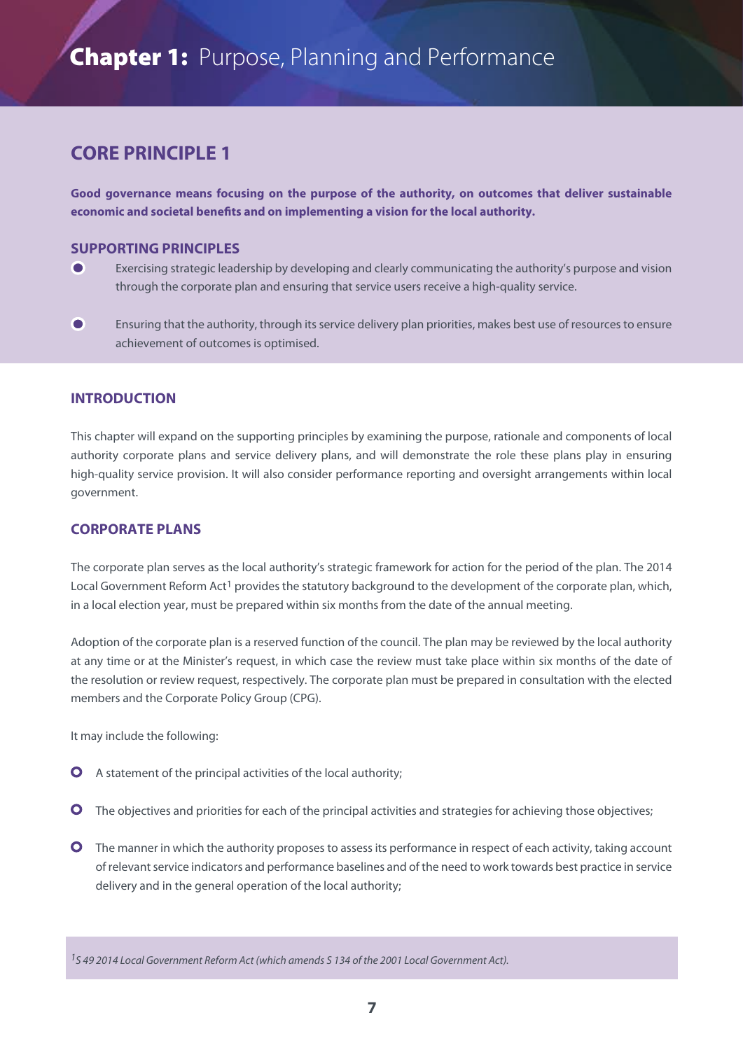**Good governance means focusing on the purpose of the authority, on outcomes that deliver sustainable economic and societal benefits and on implementing a vision for the local authority.**

#### **SUPPORTING PRINCIPLES**

- Exercising strategic leadership by developing and clearly communicating the authority's purpose and vision  $\bullet$ through the corporate plan and ensuring that service users receive a high-quality service.
- $\blacksquare$  Ensuring that the authority, through its service delivery plan priorities, makes best use of resources to ensure achievement of outcomes is optimised.

#### **INTRODUCTION**

This chapter will expand on the supporting principles by examining the purpose, rationale and components of local authority corporate plans and service delivery plans, and will demonstrate the role these plans play in ensuring high-quality service provision. It will also consider performance reporting and oversight arrangements within local government.

#### **CORPORATE PLANS**

The corporate plan serves as the local authority's strategic framework for action for the period of the plan. The 2014 Local Government Reform Act<sup>1</sup> provides the statutory background to the development of the corporate plan, which, in a local election year, must be prepared within six months from the date of the annual meeting.

Adoption of the corporate plan is a reserved function of the council. The plan may be reviewed by the local authority at any time or at the Minister's request, in which case the review must take place within six months of the date of the resolution or review request, respectively. The corporate plan must be prepared in consultation with the elected members and the Corporate Policy Group (CPG).

It may include the following:

- A statement of the principal activities of the local authority;
- **O** The objectives and priorities for each of the principal activities and strategies for achieving those objectives;
- **O** The manner in which the authority proposes to assess its performance in respect of each activity, taking account of relevant service indicators and performance baselines and of the need to work towards best practice in service delivery and in the general operation of the local authority;

*1S 49 2014 Local Government Reform Act (which amends S 134 of the 2001 Local Government Act).*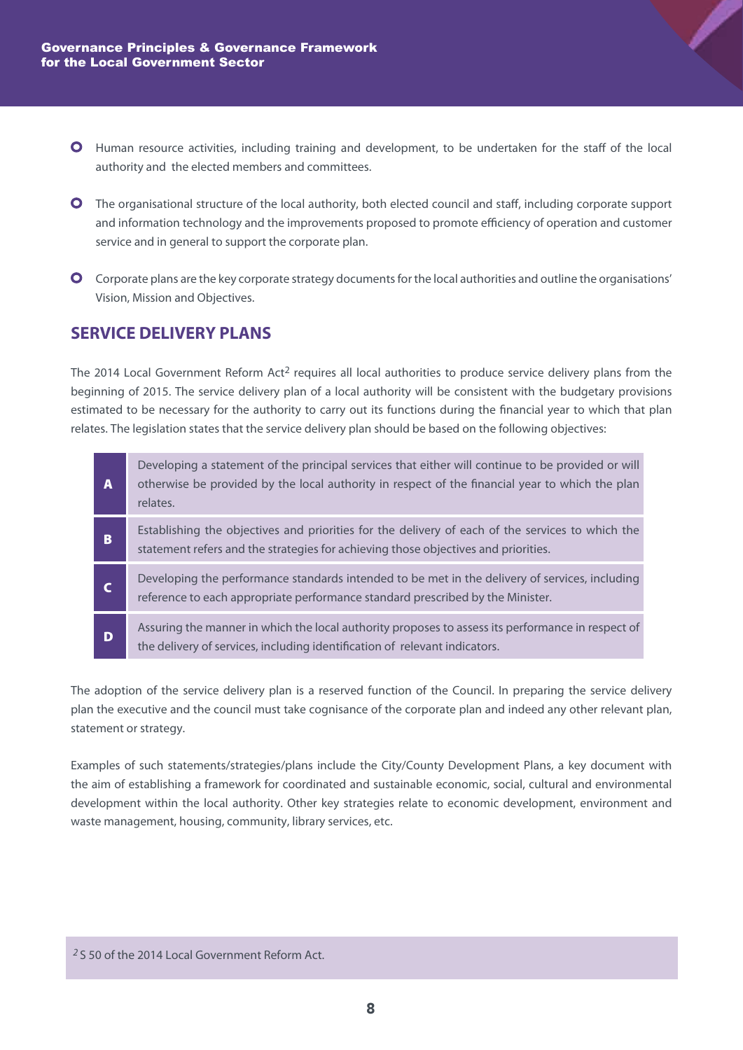- Human resource activities, including training and development, to be undertaken for the staff of the local authority and the elected members and committees.
- The organisational structure of the local authority, both elected council and staff, including corporate support and information technology and the improvements proposed to promote efficiency of operation and customer service and in general to support the corporate plan.
- Corporate plans are the key corporate strategy documents for the local authorities and outline the organisations' Vision, Mission and Objectives.

## **SERVICE DELIVERY PLANS**

The 2014 Local Government Reform Act<sup>2</sup> requires all local authorities to produce service delivery plans from the beginning of 2015. The service delivery plan of a local authority will be consistent with the budgetary provisions estimated to be necessary for the authority to carry out its functions during the financial year to which that plan relates. The legislation states that the service delivery plan should be based on the following objectives:

| A | Developing a statement of the principal services that either will continue to be provided or will<br>otherwise be provided by the local authority in respect of the financial year to which the plan<br>relates. |
|---|------------------------------------------------------------------------------------------------------------------------------------------------------------------------------------------------------------------|
| B | Establishing the objectives and priorities for the delivery of each of the services to which the<br>statement refers and the strategies for achieving those objectives and priorities.                           |
|   | Developing the performance standards intended to be met in the delivery of services, including<br>reference to each appropriate performance standard prescribed by the Minister.                                 |
| D | Assuring the manner in which the local authority proposes to assess its performance in respect of<br>the delivery of services, including identification of relevant indicators.                                  |

The adoption of the service delivery plan is a reserved function of the Council. In preparing the service delivery plan the executive and the council must take cognisance of the corporate plan and indeed any other relevant plan, statement or strategy.

Examples of such statements/strategies/plans include the City/County Development Plans, a key document with the aim of establishing a framework for coordinated and sustainable economic, social, cultural and environmental development within the local authority. Other key strategies relate to economic development, environment and waste management, housing, community, library services, etc.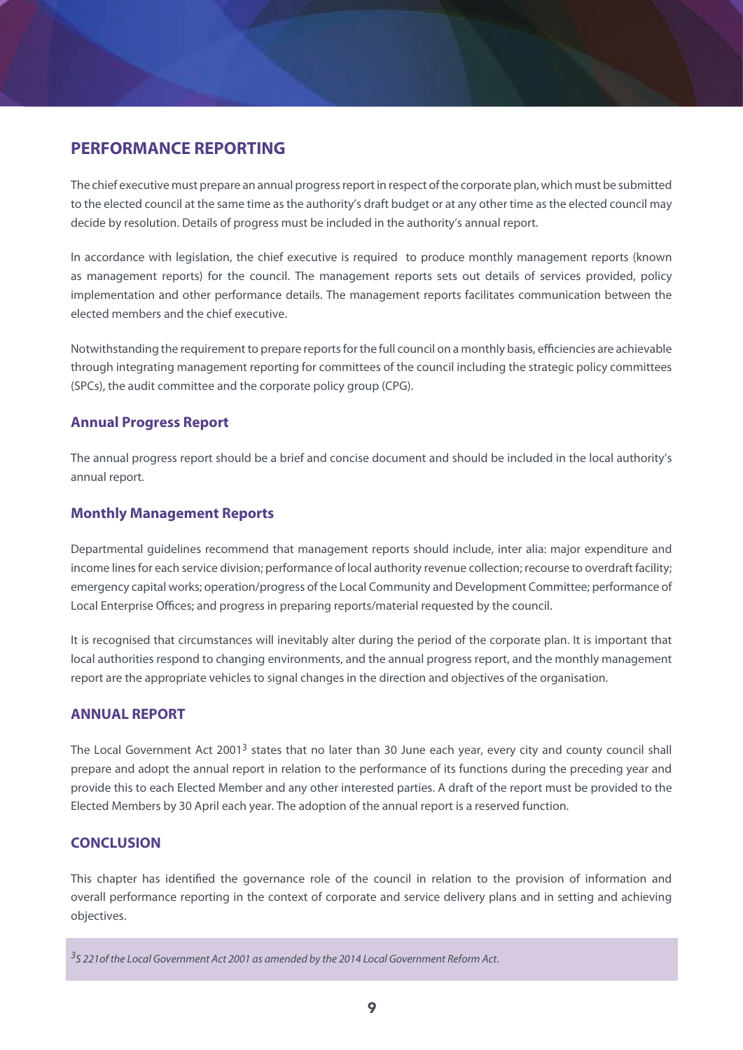## **PERFORMANCE REPORTING**

The chief executive must prepare an annual progress report in respect of the corporate plan, which must be submitted to the elected council at the same time as the authority's draft budget or at any other time as the elected council may decide by resolution. Details of progress must be included in the authority's annual report.

In accordance with legislation, the chief executive is required to produce monthly management reports (known as management reports) for the council. The management reports sets out details of services provided, policy implementation and other performance details. The management reports facilitates communication between the elected members and the chief executive.

Notwithstanding the requirement to prepare reports for the full council on a monthly basis, efficiencies are achievable through integrating management reporting for committees of the council including the strategic policy committees (SPCs), the audit committee and the corporate policy group (CPG).

#### **Annual Progress Report**

The annual progress report should be a brief and concise document and should be included in the local authority's annual report.

#### **Monthly Management Reports**

Departmental guidelines recommend that management reports should include, inter alia: major expenditure and income lines for each service division; performance of local authority revenue collection; recourse to overdraft facility; emergency capital works; operation/progress of the Local Community and Development Committee; performance of Local Enterprise Offices; and progress in preparing reports/material requested by the council.

It is recognised that circumstances will inevitably alter during the period of the corporate plan. It is important that local authorities respond to changing environments, and the annual progress report, and the monthly management report are the appropriate vehicles to signal changes in the direction and objectives of the organisation.

#### **ANNUAL REPORT**

The Local Government Act 2001<sup>3</sup> states that no later than 30 June each year, every city and county council shall prepare and adopt the annual report in relation to the performance of its functions during the preceding year and provide this to each Elected Member and any other interested parties. A draft of the report must be provided to the Elected Members by 30 April each year. The adoption of the annual report is a reserved function.

#### **CONCLUSION**

This chapter has identified the governance role of the council in relation to the provision of information and overall performance reporting in the context of corporate and service delivery plans and in setting and achieving objectives.

*3S 221of the Local Government Act 2001 as amended by the 2014 Local Government Reform Act.*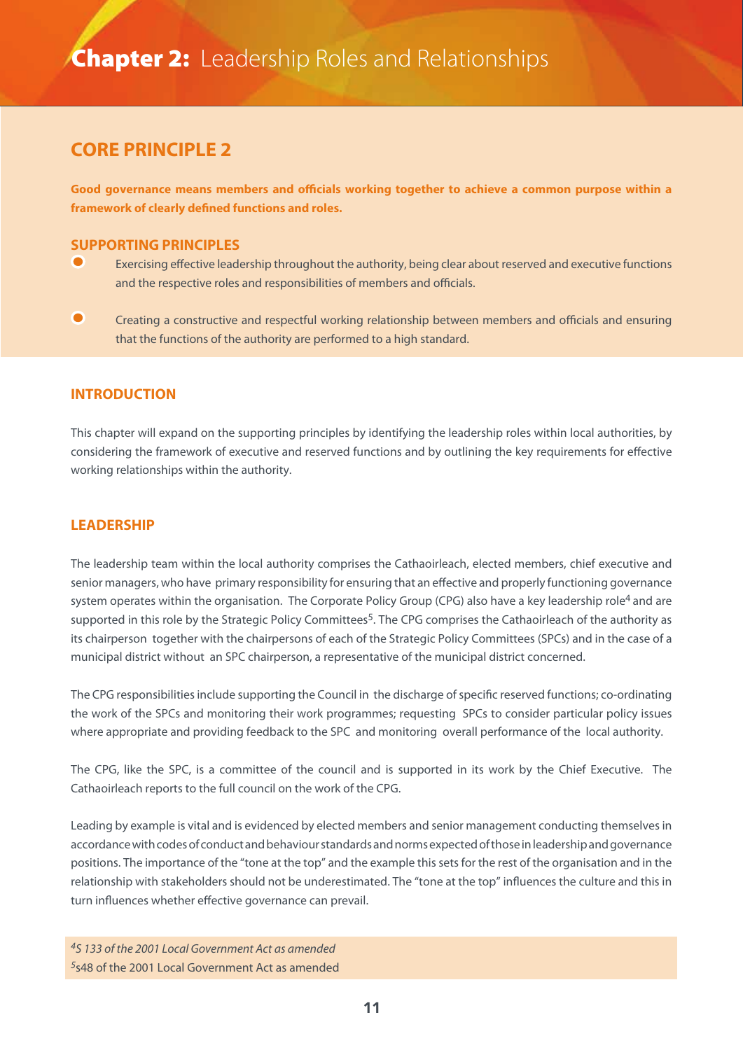**Good governance means members and officials working together to achieve a common purpose within a framework of clearly defined functions and roles.**

#### **SUPPORTING PRINCIPLES**

- $\bullet$  Exercising effective leadership throughout the authority, being clear about reserved and executive functions and the respective roles and responsibilities of members and officials.
- $\bullet$  Creating a constructive and respectful working relationship between members and officials and ensuring that the functions of the authority are performed to a high standard.

#### **INTRODUCTION**

This chapter will expand on the supporting principles by identifying the leadership roles within local authorities, by considering the framework of executive and reserved functions and by outlining the key requirements for effective working relationships within the authority.

#### **LEADERSHIP**

The leadership team within the local authority comprises the Cathaoirleach, elected members, chief executive and senior managers, who have primary responsibility for ensuring that an effective and properly functioning governance system operates within the organisation. The Corporate Policy Group (CPG) also have a key leadership role<sup>4</sup> and are supported in this role by the Strategic Policy Committees<sup>5</sup>. The CPG comprises the Cathaoirleach of the authority as its chairperson together with the chairpersons of each of the Strategic Policy Committees (SPCs) and in the case of a municipal district without an SPC chairperson, a representative of the municipal district concerned.

The CPG responsibilities include supporting the Council in the discharge of specific reserved functions; co-ordinating the work of the SPCs and monitoring their work programmes; requesting SPCs to consider particular policy issues where appropriate and providing feedback to the SPC and monitoring overall performance of the local authority.

The CPG, like the SPC, is a committee of the council and is supported in its work by the Chief Executive. The Cathaoirleach reports to the full council on the work of the CPG.

Leading by example is vital and is evidenced by elected members and senior management conducting themselves in accordance with codes of conduct and behaviour standards and norms expected of those in leadership and governance positions. The importance of the "tone at the top" and the example this sets for the rest of the organisation and in the relationship with stakeholders should not be underestimated. The "tone at the top" influences the culture and this in turn influences whether effective governance can prevail.

*4S 133 of the 2001 Local Government Act as amended 5*s48 of the 2001 Local Government Act as amended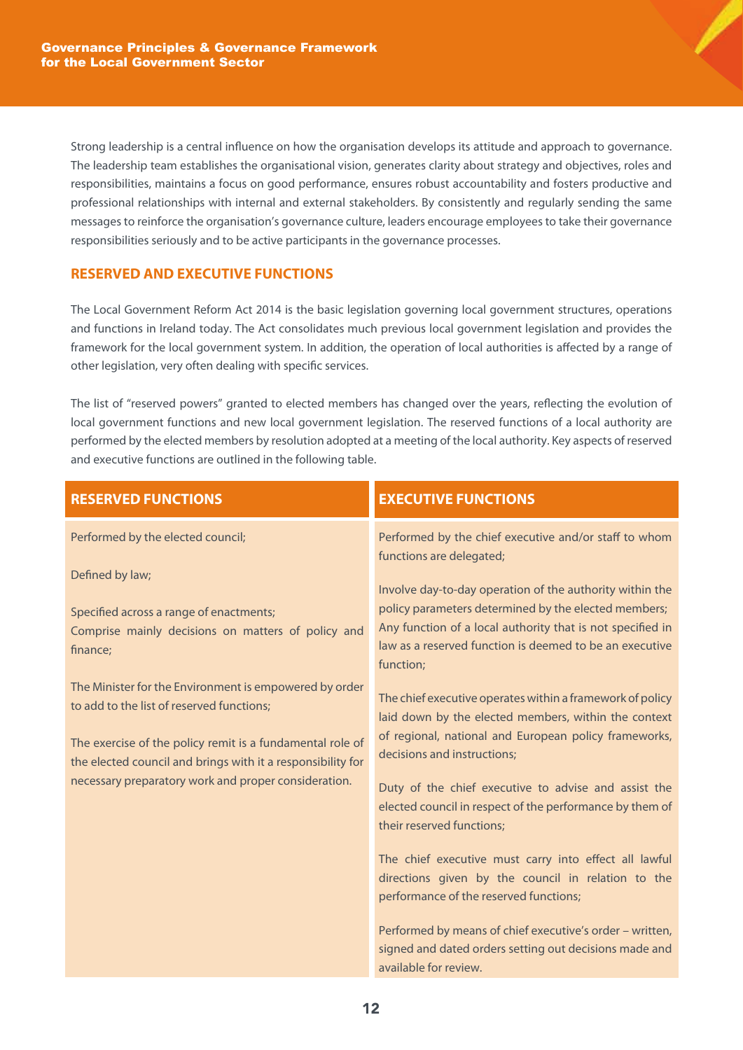Strong leadership is a central influence on how the organisation develops its attitude and approach to governance. The leadership team establishes the organisational vision, generates clarity about strategy and objectives, roles and responsibilities, maintains a focus on good performance, ensures robust accountability and fosters productive and professional relationships with internal and external stakeholders. By consistently and regularly sending the same messages to reinforce the organisation's governance culture, leaders encourage employees to take their governance responsibilities seriously and to be active participants in the governance processes.

#### **RESERVED AND EXECUTIVE FUNCTIONS**

The Local Government Reform Act 2014 is the basic legislation governing local government structures, operations and functions in Ireland today. The Act consolidates much previous local government legislation and provides the framework for the local government system. In addition, the operation of local authorities is affected by a range of other legislation, very often dealing with specific services.

The list of "reserved powers" granted to elected members has changed over the years, reflecting the evolution of local government functions and new local government legislation. The reserved functions of a local authority are performed by the elected members by resolution adopted at a meeting of the local authority. Key aspects of reserved and executive functions are outlined in the following table.

| <b>RESERVED FUNCTIONS</b>                                   | <b>EXECUTIVE FUNCTIONS</b>                                                        |
|-------------------------------------------------------------|-----------------------------------------------------------------------------------|
| Performed by the elected council;                           | Performed by the chief executive and/or staff to whom<br>functions are delegated; |
| Defined by law;                                             | Involve day-to-day operation of the authority within the                          |
| Specified across a range of enactments;                     | policy parameters determined by the elected members;                              |
| Comprise mainly decisions on matters of policy and          | Any function of a local authority that is not specified in                        |
| finance;                                                    | law as a reserved function is deemed to be an executive<br>function;              |
| The Minister for the Environment is empowered by order      | The chief executive operates within a framework of policy                         |
| to add to the list of reserved functions;                   | laid down by the elected members, within the context                              |
| The exercise of the policy remit is a fundamental role of   | of regional, national and European policy frameworks,                             |
| the elected council and brings with it a responsibility for | decisions and instructions;                                                       |
| necessary preparatory work and proper consideration.        | Duty of the chief executive to advise and assist the                              |
|                                                             | elected council in respect of the performance by them of                          |
|                                                             | their reserved functions;                                                         |
|                                                             | The chief executive must carry into effect all lawful                             |
|                                                             | directions given by the council in relation to the                                |
|                                                             | performance of the reserved functions;                                            |
|                                                             | Performed by means of chief executive's order - written,                          |
|                                                             | signed and dated orders setting out decisions made and                            |
|                                                             | available for review.                                                             |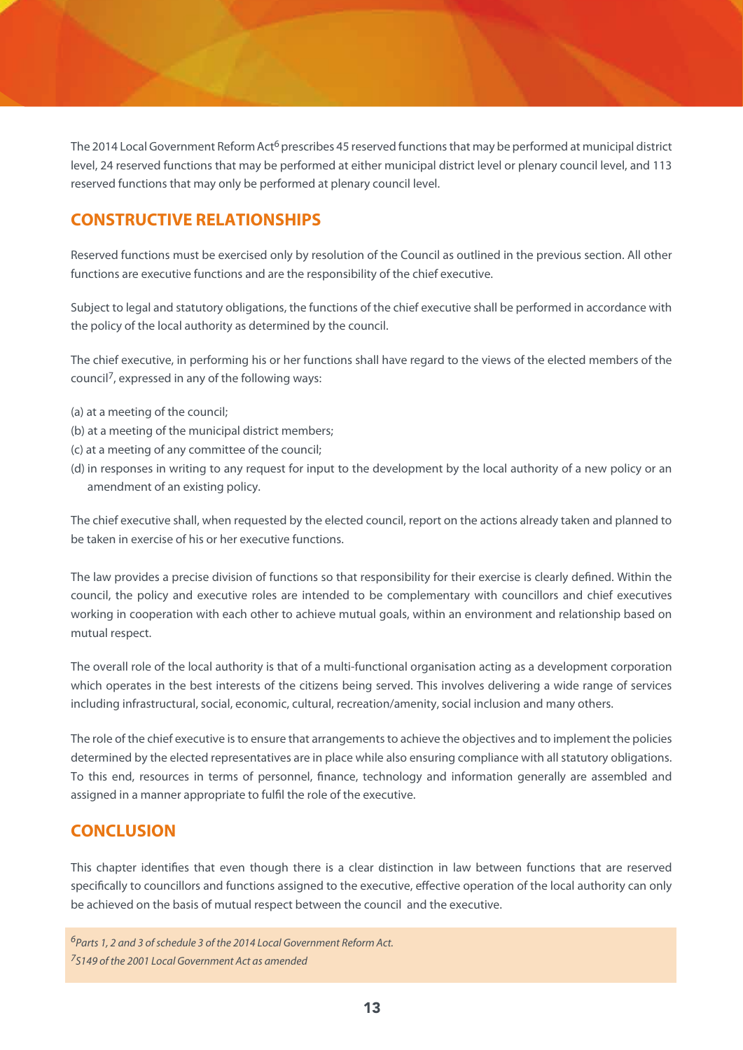The 2014 Local Government Reform Act<sup>6</sup> prescribes 45 reserved functions that may be performed at municipal district level, 24 reserved functions that may be performed at either municipal district level or plenary council level, and 113 reserved functions that may only be performed at plenary council level.

## **CONSTRUCTIVE RELATIONSHIPS**

Reserved functions must be exercised only by resolution of the Council as outlined in the previous section. All other functions are executive functions and are the responsibility of the chief executive.

Subject to legal and statutory obligations, the functions of the chief executive shall be performed in accordance with the policy of the local authority as determined by the council.

The chief executive, in performing his or her functions shall have regard to the views of the elected members of the council7, expressed in any of the following ways:

- (a) at a meeting of the council;
- (b) at a meeting of the municipal district members;
- (c) at a meeting of any committee of the council;
- (d) in responses in writing to any request for input to the development by the local authority of a new policy or an amendment of an existing policy.

The chief executive shall, when requested by the elected council, report on the actions already taken and planned to be taken in exercise of his or her executive functions.

The law provides a precise division of functions so that responsibility for their exercise is clearly defined. Within the council, the policy and executive roles are intended to be complementary with councillors and chief executives working in cooperation with each other to achieve mutual goals, within an environment and relationship based on mutual respect.

The overall role of the local authority is that of a multi-functional organisation acting as a development corporation which operates in the best interests of the citizens being served. This involves delivering a wide range of services including infrastructural, social, economic, cultural, recreation/amenity, social inclusion and many others.

The role of the chief executive is to ensure that arrangements to achieve the objectives and to implement the policies determined by the elected representatives are in place while also ensuring compliance with all statutory obligations. To this end, resources in terms of personnel, finance, technology and information generally are assembled and assigned in a manner appropriate to fulfil the role of the executive.

### **CONCLUSION**

This chapter identifies that even though there is a clear distinction in law between functions that are reserved specifically to councillors and functions assigned to the executive, effective operation of the local authority can only be achieved on the basis of mutual respect between the council and the executive.

```
6Parts 1, 2 and 3 of schedule 3 of the 2014 Local Government Reform Act.
7S149 of the 2001 Local Government Act as amended
```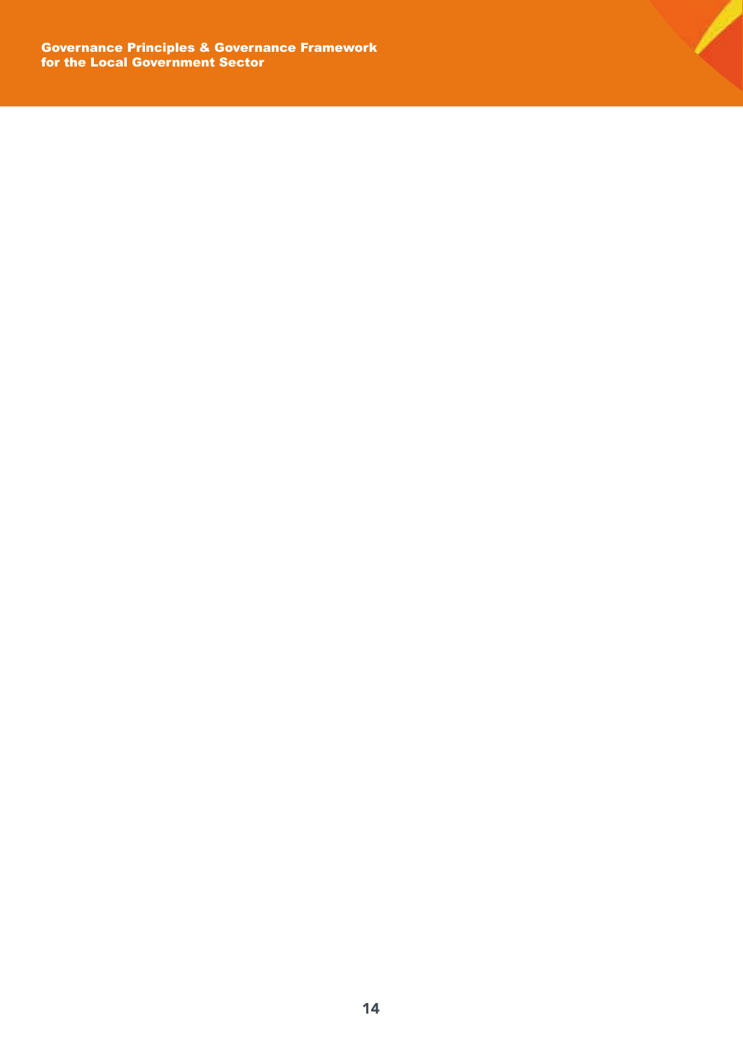P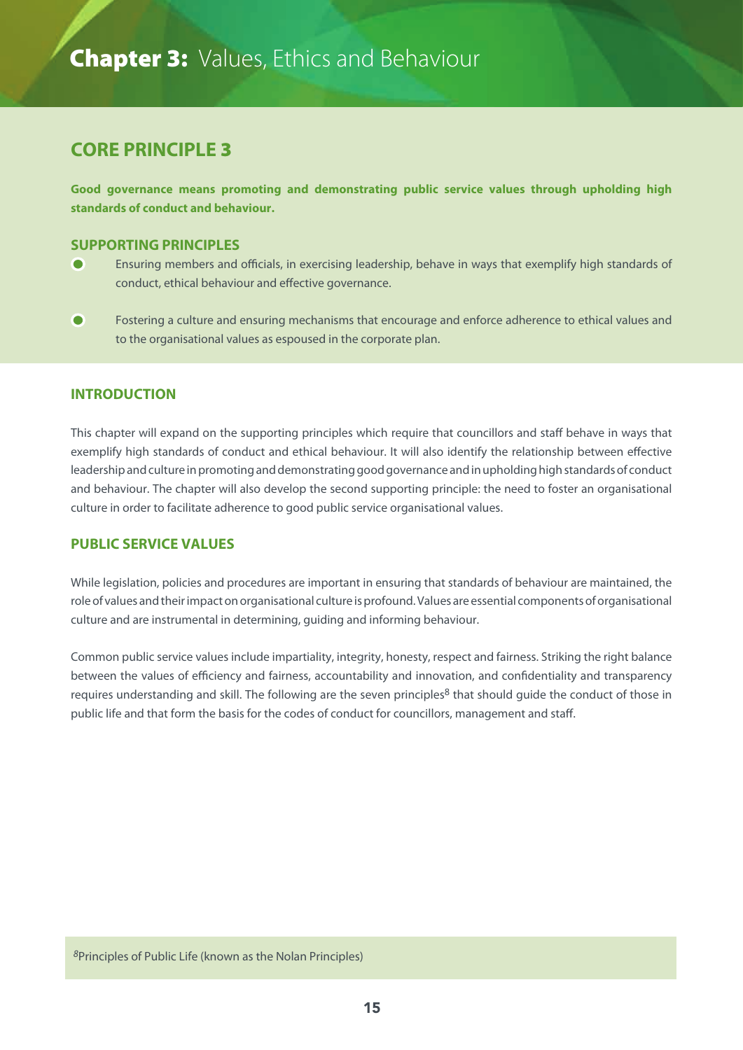**Good governance means promoting and demonstrating public service values through upholding high standards of conduct and behaviour.**

#### **SUPPORTING PRINCIPLES**

- Ensuring members and officials, in exercising leadership, behave in ways that exemplify high standards of  $\bullet$ conduct, ethical behaviour and effective governance.
- $\bullet$  Fostering a culture and ensuring mechanisms that encourage and enforce adherence to ethical values and to the organisational values as espoused in the corporate plan.

#### **INTRODUCTION**

This chapter will expand on the supporting principles which require that councillors and staff behave in ways that exemplify high standards of conduct and ethical behaviour. It will also identify the relationship between effective leadership and culture in promoting and demonstrating good governance and in upholding high standards of conduct and behaviour. The chapter will also develop the second supporting principle: the need to foster an organisational culture in order to facilitate adherence to good public service organisational values.

#### **PUBLIC SERVICE VALUES**

While legislation, policies and procedures are important in ensuring that standards of behaviour are maintained, the role of values and their impact on organisational culture is profound. Values are essential components of organisational culture and are instrumental in determining, guiding and informing behaviour.

Common public service values include impartiality, integrity, honesty, respect and fairness. Striking the right balance between the values of efficiency and fairness, accountability and innovation, and confidentiality and transparency requires understanding and skill. The following are the seven principles<sup>8</sup> that should quide the conduct of those in public life and that form the basis for the codes of conduct for councillors, management and staff.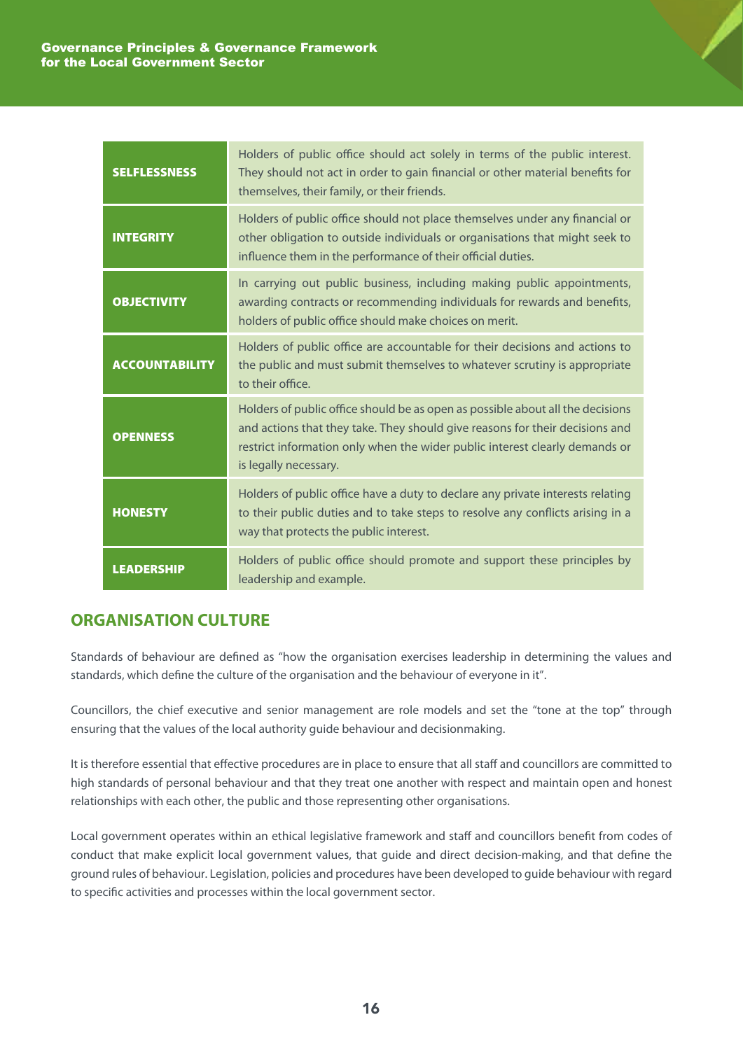| <b>SELFLESSNESS</b>   | Holders of public office should act solely in terms of the public interest.<br>They should not act in order to gain financial or other material benefits for<br>themselves, their family, or their friends.                                                            |
|-----------------------|------------------------------------------------------------------------------------------------------------------------------------------------------------------------------------------------------------------------------------------------------------------------|
| <b>INTEGRITY</b>      | Holders of public office should not place themselves under any financial or<br>other obligation to outside individuals or organisations that might seek to<br>influence them in the performance of their official duties.                                              |
| <b>OBJECTIVITY</b>    | In carrying out public business, including making public appointments,<br>awarding contracts or recommending individuals for rewards and benefits,<br>holders of public office should make choices on merit.                                                           |
| <b>ACCOUNTABILITY</b> | Holders of public office are accountable for their decisions and actions to<br>the public and must submit themselves to whatever scrutiny is appropriate<br>to their office.                                                                                           |
| <b>OPENNESS</b>       | Holders of public office should be as open as possible about all the decisions<br>and actions that they take. They should give reasons for their decisions and<br>restrict information only when the wider public interest clearly demands or<br>is legally necessary. |
| <b>HONESTY</b>        | Holders of public office have a duty to declare any private interests relating<br>to their public duties and to take steps to resolve any conflicts arising in a<br>way that protects the public interest.                                                             |
| <b>LEADERSHIP</b>     | Holders of public office should promote and support these principles by<br>leadership and example.                                                                                                                                                                     |

## **ORGANISATION CULTURE**

Standards of behaviour are defined as "how the organisation exercises leadership in determining the values and standards, which define the culture of the organisation and the behaviour of everyone in it".

Councillors, the chief executive and senior management are role models and set the "tone at the top" through ensuring that the values of the local authority guide behaviour and decisionmaking.

It is therefore essential that effective procedures are in place to ensure that all staff and councillors are committed to high standards of personal behaviour and that they treat one another with respect and maintain open and honest relationships with each other, the public and those representing other organisations.

Local government operates within an ethical legislative framework and staff and councillors benefit from codes of conduct that make explicit local government values, that guide and direct decision-making, and that define the ground rules of behaviour. Legislation, policies and procedures have been developed to guide behaviour with regard to specific activities and processes within the local government sector.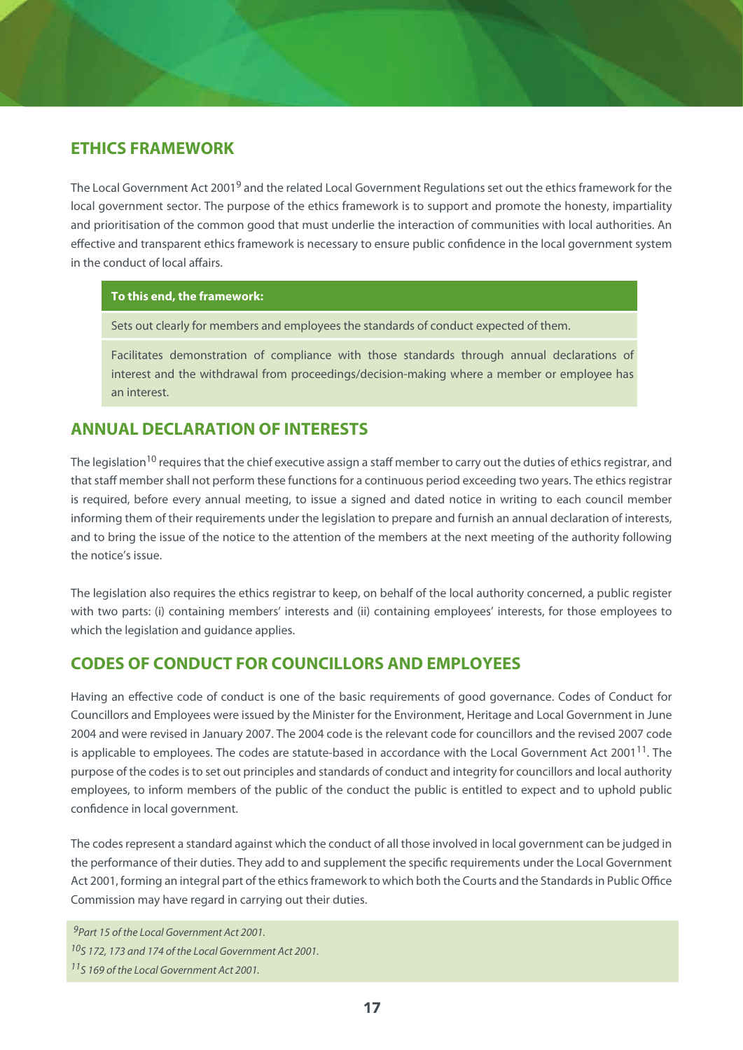### **ETHICS FRAMEWORK**

The Local Government Act 2001<sup>9</sup> and the related Local Government Regulations set out the ethics framework for the local government sector. The purpose of the ethics framework is to support and promote the honesty, impartiality and prioritisation of the common good that must underlie the interaction of communities with local authorities. An effective and transparent ethics framework is necessary to ensure public confidence in the local government system in the conduct of local affairs.

#### **To this end, the framework:**

Sets out clearly for members and employees the standards of conduct expected of them.

Facilitates demonstration of compliance with those standards through annual declarations of interest and the withdrawal from proceedings/decision-making where a member or employee has an interest.

## **ANNUAL DECLARATION OF INTERESTS**

The legislation<sup>10</sup> requires that the chief executive assign a staff member to carry out the duties of ethics registrar, and that staff member shall not perform these functions for a continuous period exceeding two years. The ethics registrar is required, before every annual meeting, to issue a signed and dated notice in writing to each council member informing them of their requirements under the legislation to prepare and furnish an annual declaration of interests, and to bring the issue of the notice to the attention of the members at the next meeting of the authority following the notice's issue.

The legislation also requires the ethics registrar to keep, on behalf of the local authority concerned, a public register with two parts: (i) containing members' interests and (ii) containing employees' interests, for those employees to which the legislation and guidance applies.

## **CODES OF CONDUCT FOR COUNCILLORS AND EMPLOYEES**

Having an effective code of conduct is one of the basic requirements of good governance. Codes of Conduct for Councillors and Employees were issued by the Minister for the Environment, Heritage and Local Government in June 2004 and were revised in January 2007. The 2004 code is the relevant code for councillors and the revised 2007 code is applicable to employees. The codes are statute-based in accordance with the Local Government Act 2001<sup>11</sup>. The purpose of the codes is to set out principles and standards of conduct and integrity for councillors and local authority employees, to inform members of the public of the conduct the public is entitled to expect and to uphold public confidence in local government.

The codes represent a standard against which the conduct of all those involved in local government can be judged in the performance of their duties. They add to and supplement the specific requirements under the Local Government Act 2001, forming an integral part of the ethics framework to which both the Courts and the Standards in Public Office Commission may have regard in carrying out their duties.

*9Part 15 of the Local Government Act 2001.*

*<sup>10</sup>S 172, 173 and 174 of the Local Government Act 2001.*

*<sup>11</sup>S 169 of the Local Government Act 2001.*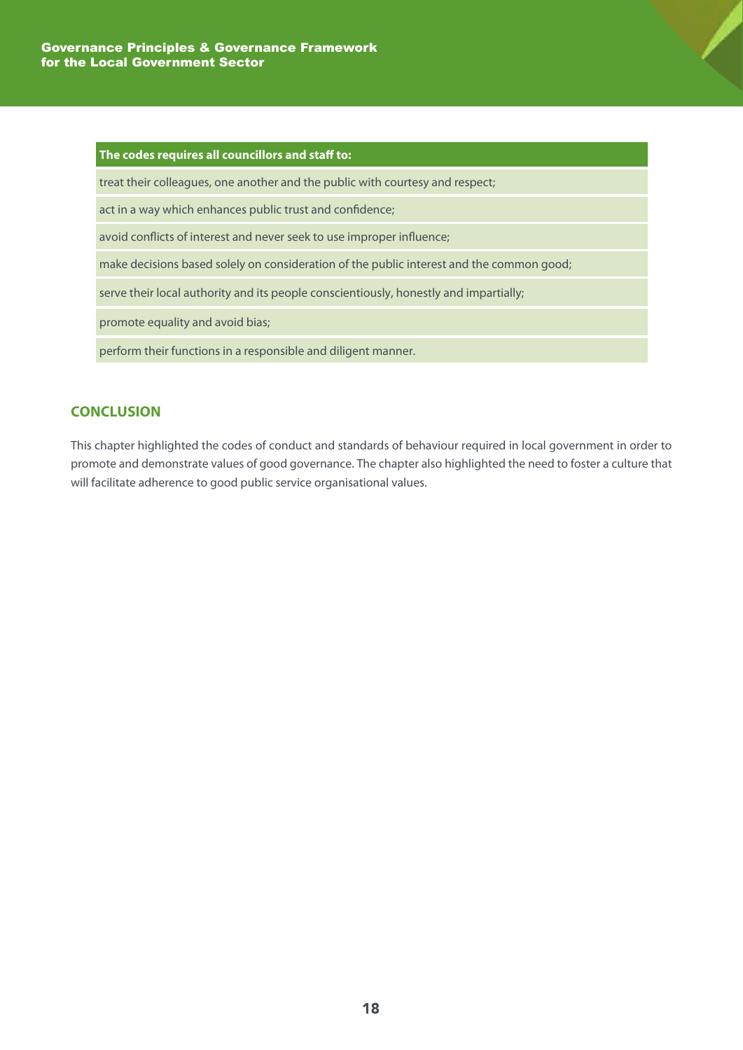#### **The codes requires all councillors and staff to:**

treat their colleagues, one another and the public with courtesy and respect;

act in a way which enhances public trust and confidence;

avoid conflicts of interest and never seek to use improper influence;

make decisions based solely on consideration of the public interest and the common good;

serve their local authority and its people conscientiously, honestly and impartially;

promote equality and avoid bias;

perform their functions in a responsible and diligent manner.

#### **CONCLUSION**

This chapter highlighted the codes of conduct and standards of behaviour required in local government in order to promote and demonstrate values of good governance. The chapter also highlighted the need to foster a culture that will facilitate adherence to good public service organisational values.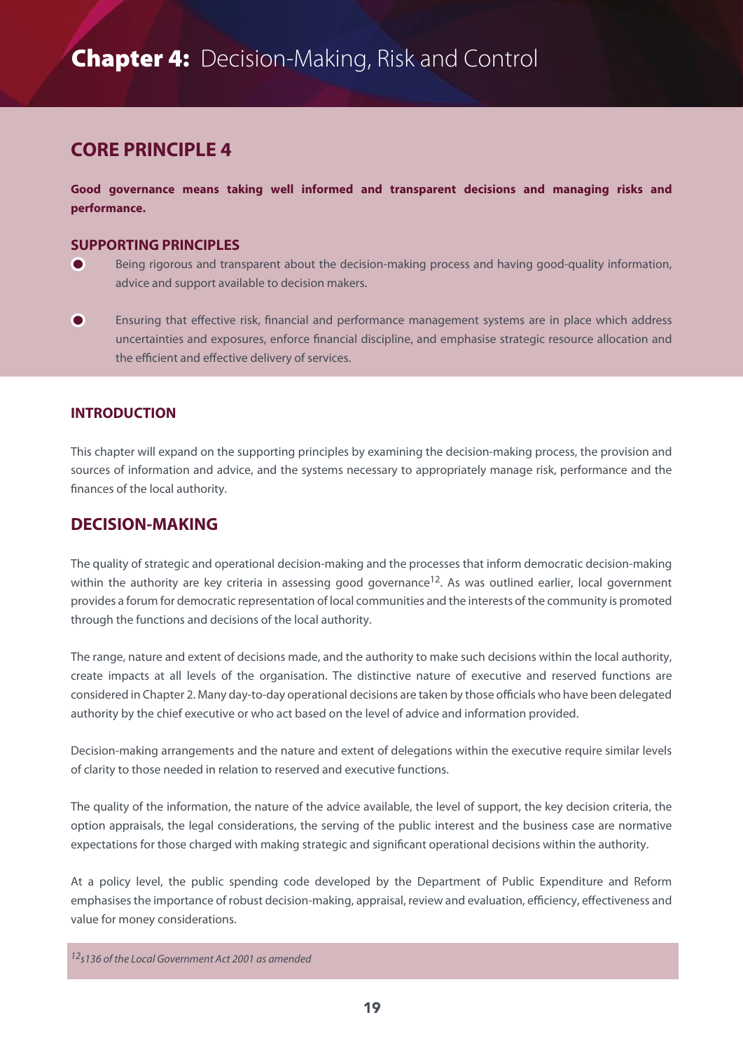**Good governance means taking well informed and transparent decisions and managing risks and performance.**

#### **SUPPORTING PRINCIPLES**

- Being rigorous and transparent about the decision-making process and having good-quality information,  $\bullet$ advice and support available to decision makers.
- $\bullet$  Ensuring that effective risk, financial and performance management systems are in place which address uncertainties and exposures, enforce financial discipline, and emphasise strategic resource allocation and the efficient and effective delivery of services.

#### **INTRODUCTION**

This chapter will expand on the supporting principles by examining the decision-making process, the provision and sources of information and advice, and the systems necessary to appropriately manage risk, performance and the finances of the local authority.

## **DECISION-MAKING**

The quality of strategic and operational decision-making and the processes that inform democratic decision-making within the authority are key criteria in assessing good governance<sup>12</sup>. As was outlined earlier, local government provides a forum for democratic representation of local communities and the interests of the community is promoted through the functions and decisions of the local authority.

The range, nature and extent of decisions made, and the authority to make such decisions within the local authority, create impacts at all levels of the organisation. The distinctive nature of executive and reserved functions are considered in Chapter 2. Many day-to-day operational decisions are taken by those officials who have been delegated authority by the chief executive or who act based on the level of advice and information provided.

Decision-making arrangements and the nature and extent of delegations within the executive require similar levels of clarity to those needed in relation to reserved and executive functions.

The quality of the information, the nature of the advice available, the level of support, the key decision criteria, the option appraisals, the legal considerations, the serving of the public interest and the business case are normative expectations for those charged with making strategic and significant operational decisions within the authority.

At a policy level, the public spending code developed by the Department of Public Expenditure and Reform emphasises the importance of robust decision-making, appraisal, review and evaluation, efficiency, effectiveness and value for money considerations.

*12s136 of the Local Government Act 2001 as amended*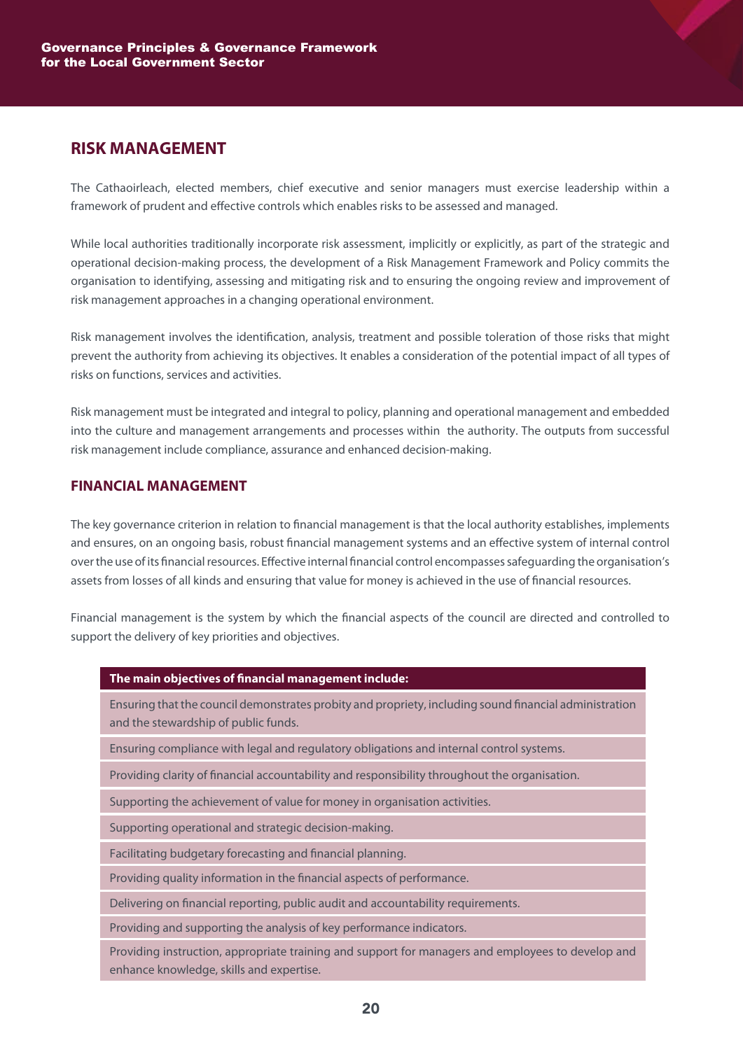## **RISK MANAGEMENT**

The Cathaoirleach, elected members, chief executive and senior managers must exercise leadership within a framework of prudent and effective controls which enables risks to be assessed and managed.

While local authorities traditionally incorporate risk assessment, implicitly or explicitly, as part of the strategic and operational decision-making process, the development of a Risk Management Framework and Policy commits the organisation to identifying, assessing and mitigating risk and to ensuring the ongoing review and improvement of risk management approaches in a changing operational environment.

Risk management involves the identification, analysis, treatment and possible toleration of those risks that might prevent the authority from achieving its objectives. It enables a consideration of the potential impact of all types of risks on functions, services and activities.

Risk management must be integrated and integral to policy, planning and operational management and embedded into the culture and management arrangements and processes within the authority. The outputs from successful risk management include compliance, assurance and enhanced decision-making.

#### **FINANCIAL MANAGEMENT**

The key governance criterion in relation to financial management is that the local authority establishes, implements and ensures, on an ongoing basis, robust financial management systems and an effective system of internal control over the use of its financial resources. Effective internal financial control encompasses safeguarding the organisation's assets from losses of all kinds and ensuring that value for money is achieved in the use of financial resources.

Financial management is the system by which the financial aspects of the council are directed and controlled to support the delivery of key priorities and objectives.

#### **The main objectives of financial management include:**

Ensuring that the council demonstrates probity and propriety, including sound financial administration and the stewardship of public funds.

Ensuring compliance with legal and regulatory obligations and internal control systems.

Providing clarity of financial accountability and responsibility throughout the organisation.

Supporting the achievement of value for money in organisation activities.

Supporting operational and strategic decision-making.

Facilitating budgetary forecasting and financial planning.

Providing quality information in the financial aspects of performance.

Delivering on financial reporting, public audit and accountability requirements.

Providing and supporting the analysis of key performance indicators.

Providing instruction, appropriate training and support for managers and employees to develop and enhance knowledge, skills and expertise.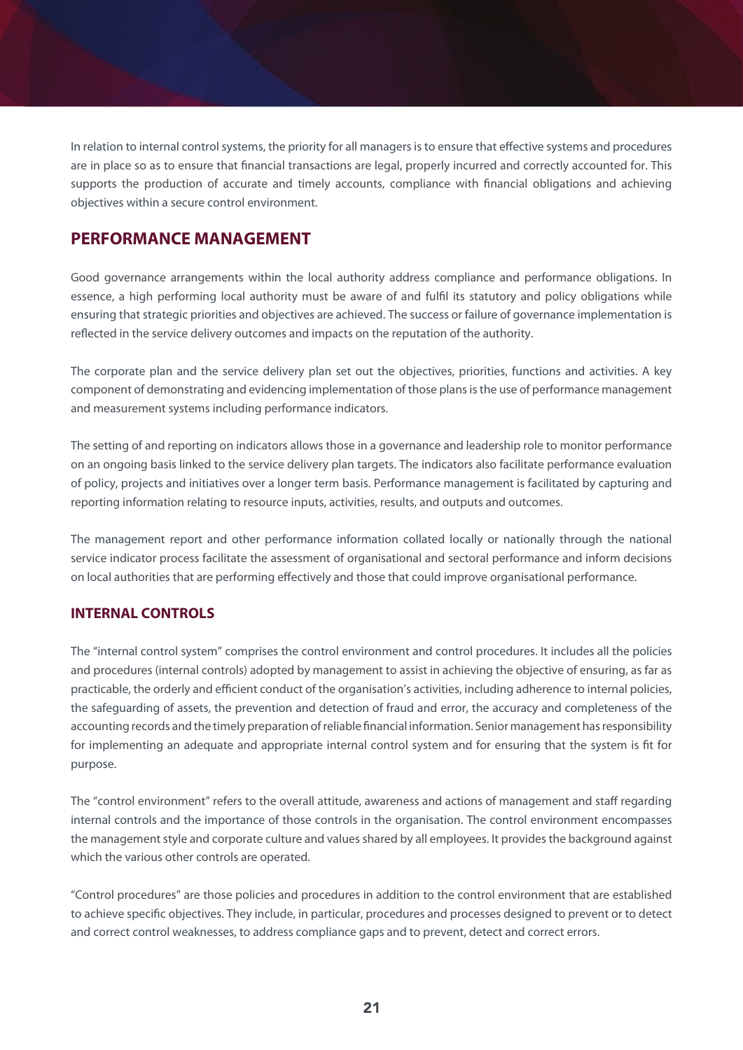In relation to internal control systems, the priority for all managers is to ensure that effective systems and procedures are in place so as to ensure that financial transactions are legal, properly incurred and correctly accounted for. This supports the production of accurate and timely accounts, compliance with financial obligations and achieving objectives within a secure control environment.

## **PERFORMANCE MANAGEMENT**

Good governance arrangements within the local authority address compliance and performance obligations. In essence, a high performing local authority must be aware of and fulfil its statutory and policy obligations while ensuring that strategic priorities and objectives are achieved. The success or failure of governance implementation is reflected in the service delivery outcomes and impacts on the reputation of the authority.

The corporate plan and the service delivery plan set out the objectives, priorities, functions and activities. A key component of demonstrating and evidencing implementation of those plans is the use of performance management and measurement systems including performance indicators.

The setting of and reporting on indicators allows those in a governance and leadership role to monitor performance on an ongoing basis linked to the service delivery plan targets. The indicators also facilitate performance evaluation of policy, projects and initiatives over a longer term basis. Performance management is facilitated by capturing and reporting information relating to resource inputs, activities, results, and outputs and outcomes.

The management report and other performance information collated locally or nationally through the national service indicator process facilitate the assessment of organisational and sectoral performance and inform decisions on local authorities that are performing effectively and those that could improve organisational performance.

#### **INTERNAL CONTROLS**

The "internal control system" comprises the control environment and control procedures. It includes all the policies and procedures (internal controls) adopted by management to assist in achieving the objective of ensuring, as far as practicable, the orderly and efficient conduct of the organisation's activities, including adherence to internal policies, the safeguarding of assets, the prevention and detection of fraud and error, the accuracy and completeness of the accounting records and the timely preparation of reliable financial information. Senior management has responsibility for implementing an adequate and appropriate internal control system and for ensuring that the system is fit for purpose.

The "control environment" refers to the overall attitude, awareness and actions of management and staff regarding internal controls and the importance of those controls in the organisation. The control environment encompasses the management style and corporate culture and values shared by all employees. It provides the background against which the various other controls are operated.

"Control procedures" are those policies and procedures in addition to the control environment that are established to achieve specific objectives. They include, in particular, procedures and processes designed to prevent or to detect and correct control weaknesses, to address compliance gaps and to prevent, detect and correct errors.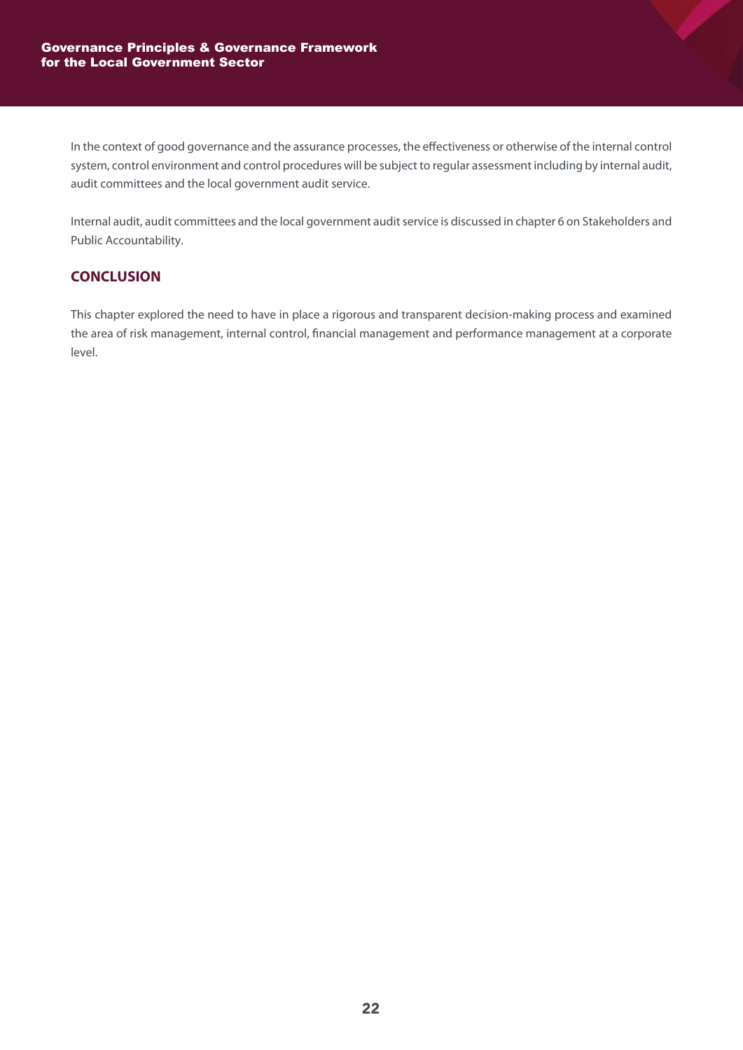In the context of good governance and the assurance processes, the effectiveness or otherwise of the internal control system, control environment and control procedures will be subject to regular assessment including by internal audit, audit committees and the local government audit service.

Internal audit, audit committees and the local government audit service is discussed in chapter 6 on Stakeholders and Public Accountability.

#### **CONCLUSION**

This chapter explored the need to have in place a rigorous and transparent decision-making process and examined the area of risk management, internal control, financial management and performance management at a corporate level.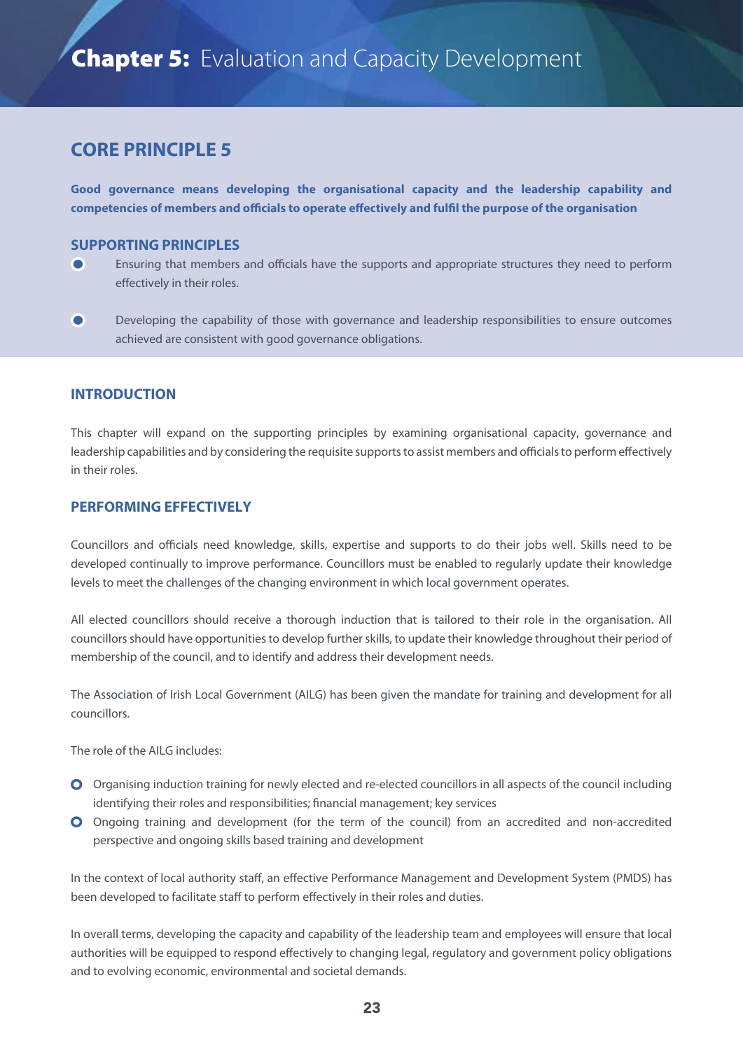**Good governance means developing the organisational capacity and the leadership capability and competencies of members and officials to operate effectively and fulfil the purpose of the organisation** 

#### **SUPPORTING PRINCIPLES**

- $\blacksquare$  Ensuring that members and officials have the supports and appropriate structures they need to perform effectively in their roles.
- $\bullet$  Developing the capability of those with governance and leadership responsibilities to ensure outcomes achieved are consistent with good governance obligations.

#### **INTRODUCTION**

This chapter will expand on the supporting principles by examining organisational capacity, governance and leadership capabilities and by considering the requisite supports to assist members and officials to perform effectively in their roles.

#### **PERFORMING EFFECTIVELY**

Councillors and officials need knowledge, skills, expertise and supports to do their jobs well. Skills need to be developed continually to improve performance. Councillors must be enabled to regularly update their knowledge levels to meet the challenges of the changing environment in which local government operates.

All elected councillors should receive a thorough induction that is tailored to their role in the organisation. All councillors should have opportunities to develop further skills, to update their knowledge throughout their period of membership of the council, and to identify and address their development needs.

The Association of Irish Local Government (AILG) has been given the mandate for training and development for all councillors.

The role of the AILG includes:

- O Organising induction training for newly elected and re-elected councillors in all aspects of the council including identifying their roles and responsibilities; financial management; key services
- Ongoing training and development (for the term of the council) from an accredited and non-accredited perspective and ongoing skills based training and development

In the context of local authority staff, an effective Performance Management and Development System (PMDS) has been developed to facilitate staff to perform effectively in their roles and duties.

In overall terms, developing the capacity and capability of the leadership team and employees will ensure that local authorities will be equipped to respond effectively to changing legal, regulatory and government policy obligations and to evolving economic, environmental and societal demands.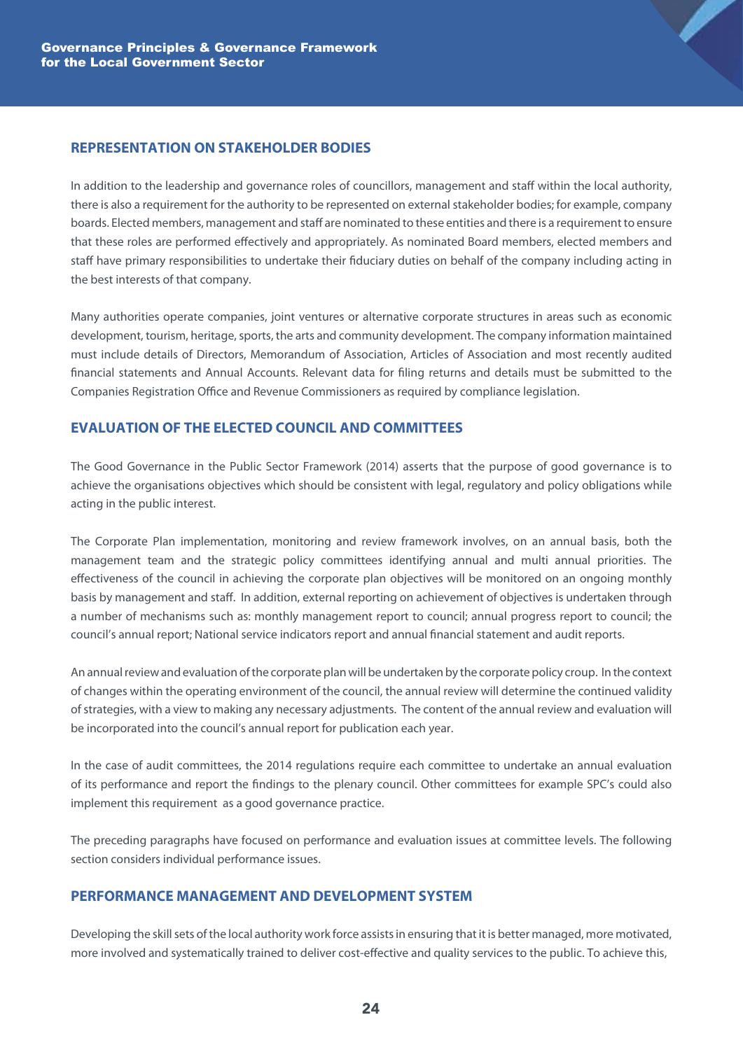#### **REPRESENTATION ON STAKEHOLDER BODIES**

In addition to the leadership and governance roles of councillors, management and staff within the local authority, there is also a requirement for the authority to be represented on external stakeholder bodies; for example, company boards. Elected members, management and staff are nominated to these entities and there is a requirement to ensure that these roles are performed effectively and appropriately. As nominated Board members, elected members and staff have primary responsibilities to undertake their fiduciary duties on behalf of the company including acting in the best interests of that company.

Many authorities operate companies, joint ventures or alternative corporate structures in areas such as economic development, tourism, heritage, sports, the arts and community development. The company information maintained must include details of Directors, Memorandum of Association, Articles of Association and most recently audited financial statements and Annual Accounts. Relevant data for filing returns and details must be submitted to the Companies Registration Office and Revenue Commissioners as required by compliance legislation.

#### **EVALUATION OF THE ELECTED COUNCIL AND COMMITTEES**

The Good Governance in the Public Sector Framework (2014) asserts that the purpose of good governance is to achieve the organisations objectives which should be consistent with legal, regulatory and policy obligations while acting in the public interest.

The Corporate Plan implementation, monitoring and review framework involves, on an annual basis, both the management team and the strategic policy committees identifying annual and multi annual priorities. The effectiveness of the council in achieving the corporate plan objectives will be monitored on an ongoing monthly basis by management and staff. In addition, external reporting on achievement of objectives is undertaken through a number of mechanisms such as: monthly management report to council; annual progress report to council; the council's annual report; National service indicators report and annual financial statement and audit reports.

An annual review and evaluation of the corporate plan will be undertaken by the corporate policy croup. In the context of changes within the operating environment of the council, the annual review will determine the continued validity of strategies, with a view to making any necessary adjustments. The content of the annual review and evaluation will be incorporated into the council's annual report for publication each year.

In the case of audit committees, the 2014 regulations require each committee to undertake an annual evaluation of its performance and report the findings to the plenary council. Other committees for example SPC's could also implement this requirement as a good governance practice.

The preceding paragraphs have focused on performance and evaluation issues at committee levels. The following section considers individual performance issues.

#### **PERFORMANCE MANAGEMENT AND DEVELOPMENT SYSTEM**

Developing the skill sets of the local authority work force assists in ensuring that it is better managed, more motivated, more involved and systematically trained to deliver cost-effective and quality services to the public. To achieve this,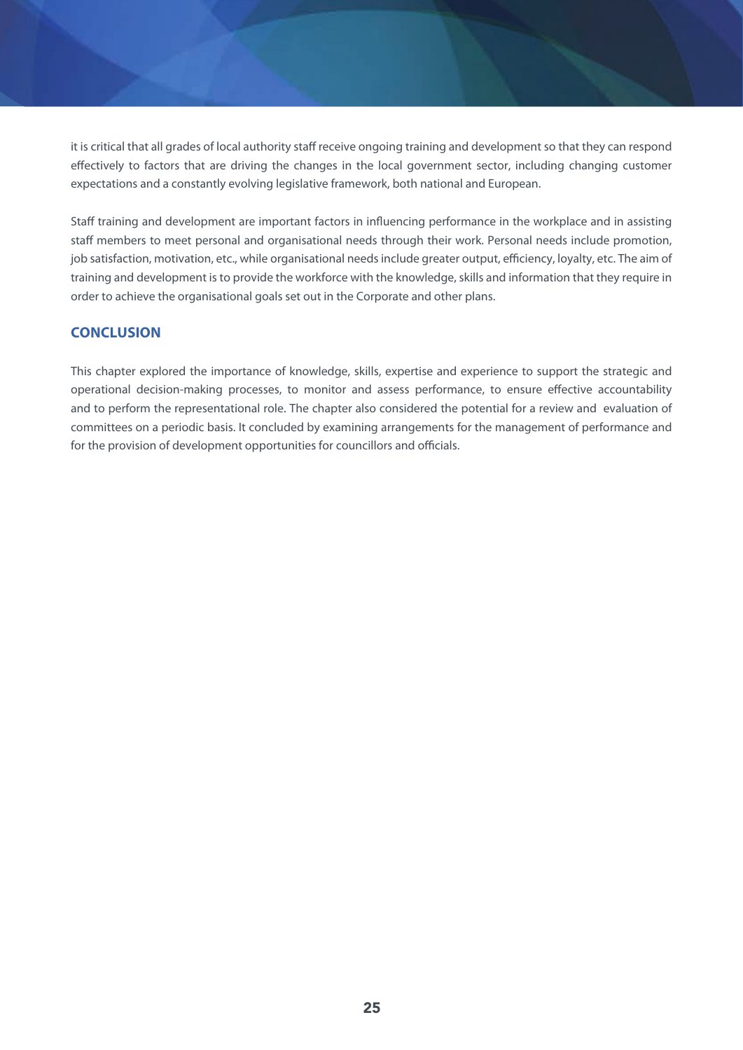it is critical that all grades of local authority staff receive ongoing training and development so that they can respond effectively to factors that are driving the changes in the local government sector, including changing customer expectations and a constantly evolving legislative framework, both national and European.

Staff training and development are important factors in influencing performance in the workplace and in assisting staff members to meet personal and organisational needs through their work. Personal needs include promotion, job satisfaction, motivation, etc., while organisational needs include greater output, efficiency, loyalty, etc. The aim of training and development is to provide the workforce with the knowledge, skills and information that they require in order to achieve the organisational goals set out in the Corporate and other plans.

#### **CONCLUSION**

This chapter explored the importance of knowledge, skills, expertise and experience to support the strategic and operational decision-making processes, to monitor and assess performance, to ensure effective accountability and to perform the representational role. The chapter also considered the potential for a review and evaluation of committees on a periodic basis. It concluded by examining arrangements for the management of performance and for the provision of development opportunities for councillors and officials.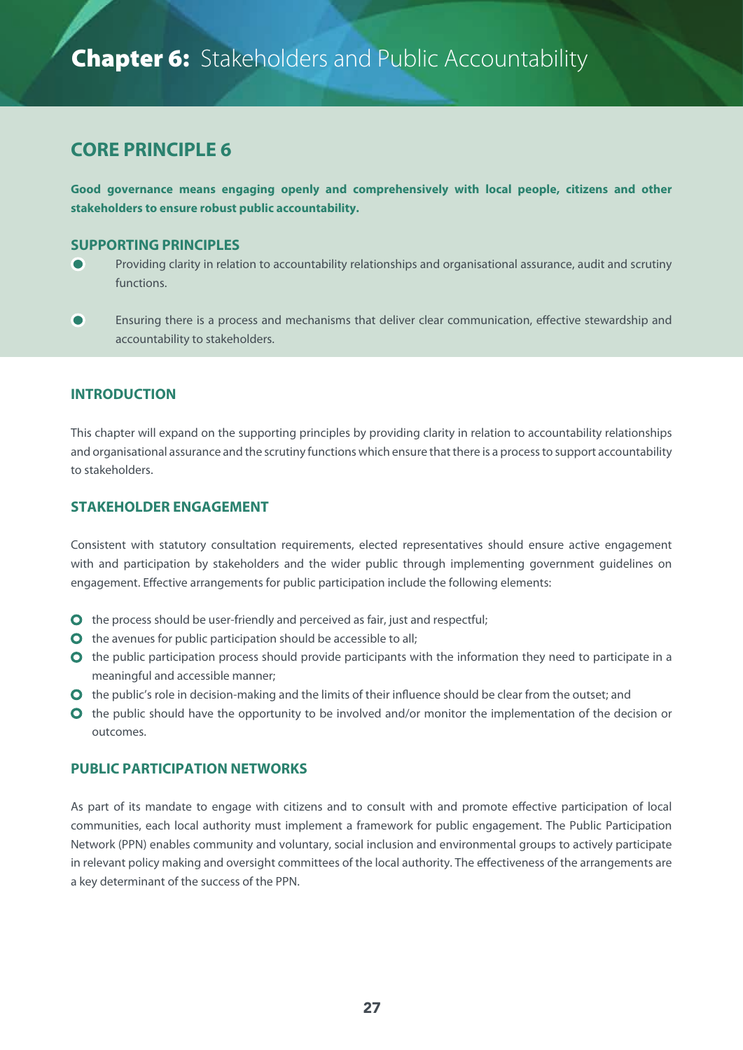**Good governance means engaging openly and comprehensively with local people, citizens and other stakeholders to ensure robust public accountability.**

#### **SUPPORTING PRINCIPLES**

- Providing clarity in relation to accountability relationships and organisational assurance, audit and scrutiny  $\bullet$ functions.
- $\bullet$  Ensuring there is a process and mechanisms that deliver clear communication, effective stewardship and accountability to stakeholders.

#### **INTRODUCTION**

This chapter will expand on the supporting principles by providing clarity in relation to accountability relationships and organisational assurance and the scrutiny functions which ensure that there is a process to support accountability to stakeholders.

#### **STAKEHOLDER ENGAGEMENT**

Consistent with statutory consultation requirements, elected representatives should ensure active engagement with and participation by stakeholders and the wider public through implementing government guidelines on engagement. Effective arrangements for public participation include the following elements:

- $\bullet$  the process should be user-friendly and perceived as fair, just and respectful;
- $\bullet$  the avenues for public participation should be accessible to all;
- **O** the public participation process should provide participants with the information they need to participate in a meaningful and accessible manner;
- **O** the public's role in decision-making and the limits of their influence should be clear from the outset; and
- **O** the public should have the opportunity to be involved and/or monitor the implementation of the decision or outcomes.

#### **PUBLIC PARTICIPATION NETWORKS**

As part of its mandate to engage with citizens and to consult with and promote effective participation of local communities, each local authority must implement a framework for public engagement. The Public Participation Network (PPN) enables community and voluntary, social inclusion and environmental groups to actively participate in relevant policy making and oversight committees of the local authority. The effectiveness of the arrangements are a key determinant of the success of the PPN.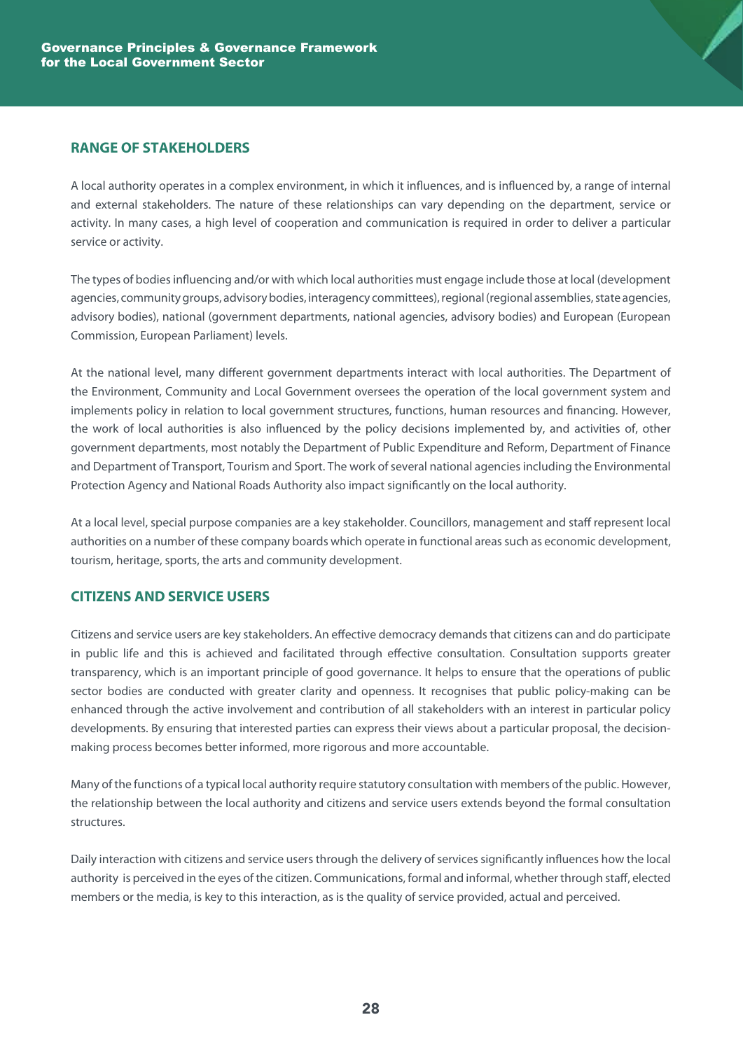#### **RANGE OF STAKEHOLDERS**

A local authority operates in a complex environment, in which it influences, and is influenced by, a range of internal and external stakeholders. The nature of these relationships can vary depending on the department, service or activity. In many cases, a high level of cooperation and communication is required in order to deliver a particular service or activity.

The types of bodies influencing and/or with which local authorities must engage include those at local (development agencies, community groups, advisory bodies, interagency committees), regional (regional assemblies, state agencies, advisory bodies), national (government departments, national agencies, advisory bodies) and European (European Commission, European Parliament) levels.

At the national level, many different government departments interact with local authorities. The Department of the Environment, Community and Local Government oversees the operation of the local government system and implements policy in relation to local government structures, functions, human resources and financing. However, the work of local authorities is also influenced by the policy decisions implemented by, and activities of, other government departments, most notably the Department of Public Expenditure and Reform, Department of Finance and Department of Transport, Tourism and Sport. The work of several national agencies including the Environmental Protection Agency and National Roads Authority also impact significantly on the local authority.

At a local level, special purpose companies are a key stakeholder. Councillors, management and staff represent local authorities on a number of these company boards which operate in functional areas such as economic development, tourism, heritage, sports, the arts and community development.

#### **CITIZENS AND SERVICE USERS**

Citizens and service users are key stakeholders. An effective democracy demands that citizens can and do participate in public life and this is achieved and facilitated through effective consultation. Consultation supports greater transparency, which is an important principle of good governance. It helps to ensure that the operations of public sector bodies are conducted with greater clarity and openness. It recognises that public policy-making can be enhanced through the active involvement and contribution of all stakeholders with an interest in particular policy developments. By ensuring that interested parties can express their views about a particular proposal, the decisionmaking process becomes better informed, more rigorous and more accountable.

Many of the functions of a typical local authority require statutory consultation with members of the public. However, the relationship between the local authority and citizens and service users extends beyond the formal consultation structures.

Daily interaction with citizens and service users through the delivery of services significantly influences how the local authority is perceived in the eyes of the citizen. Communications, formal and informal, whether through staff, elected members or the media, is key to this interaction, as is the quality of service provided, actual and perceived.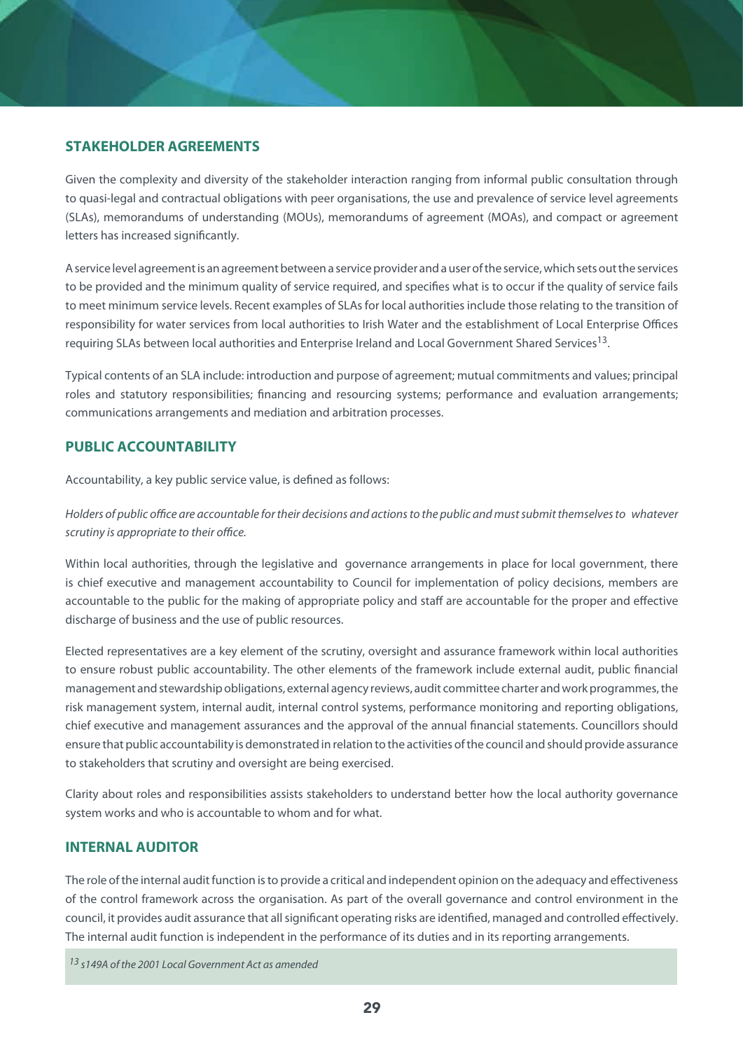#### **STAKEHOLDER AGREEMENTS**

Given the complexity and diversity of the stakeholder interaction ranging from informal public consultation through to quasi-legal and contractual obligations with peer organisations, the use and prevalence of service level agreements (SLAs), memorandums of understanding (MOUs), memorandums of agreement (MOAs), and compact or agreement letters has increased significantly.

A service level agreement is an agreement between a service provider and a user of the service, which sets out the services to be provided and the minimum quality of service required, and specifies what is to occur if the quality of service fails to meet minimum service levels. Recent examples of SLAs for local authorities include those relating to the transition of responsibility for water services from local authorities to Irish Water and the establishment of Local Enterprise Offices requiring SLAs between local authorities and Enterprise Ireland and Local Government Shared Services13.

Typical contents of an SLA include: introduction and purpose of agreement; mutual commitments and values; principal roles and statutory responsibilities; financing and resourcing systems; performance and evaluation arrangements; communications arrangements and mediation and arbitration processes.

#### **PUBLIC ACCOUNTABILITY**

Accountability, a key public service value, is defined as follows:

*Holders of public office are accountable for their decisions and actions to the public and must submit themselves to whatever scrutiny is appropriate to their office.*

Within local authorities, through the legislative and governance arrangements in place for local government, there is chief executive and management accountability to Council for implementation of policy decisions, members are accountable to the public for the making of appropriate policy and staff are accountable for the proper and effective discharge of business and the use of public resources.

Elected representatives are a key element of the scrutiny, oversight and assurance framework within local authorities to ensure robust public accountability. The other elements of the framework include external audit, public financial management and stewardship obligations, external agency reviews, audit committee charter and work programmes, the risk management system, internal audit, internal control systems, performance monitoring and reporting obligations, chief executive and management assurances and the approval of the annual financial statements. Councillors should ensure that public accountability is demonstrated in relation to the activities of the council and should provide assurance to stakeholders that scrutiny and oversight are being exercised.

Clarity about roles and responsibilities assists stakeholders to understand better how the local authority governance system works and who is accountable to whom and for what.

#### **INTERNAL AUDITOR**

The role of the internal audit function is to provide a critical and independent opinion on the adequacy and effectiveness of the control framework across the organisation. As part of the overall governance and control environment in the council, it provides audit assurance that all significant operating risks are identified, managed and controlled effectively. The internal audit function is independent in the performance of its duties and in its reporting arrangements.

*13 s149A of the 2001 Local Government Act as amended*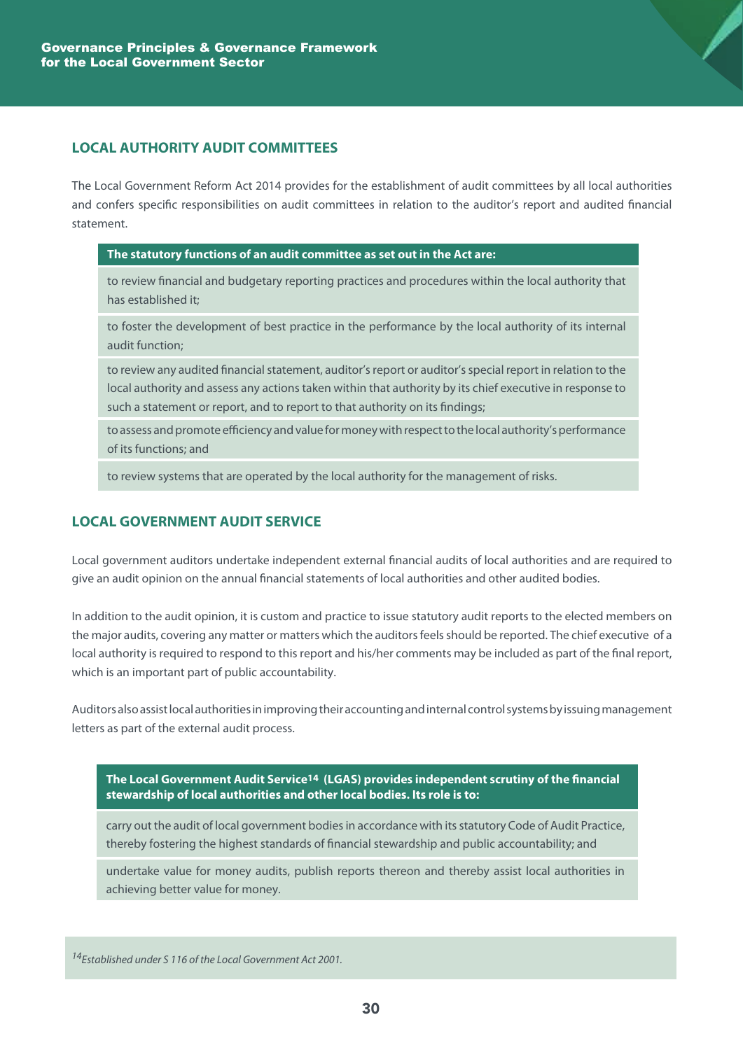#### **LOCAL AUTHORITY AUDIT COMMITTEES**

The Local Government Reform Act 2014 provides for the establishment of audit committees by all local authorities and confers specific responsibilities on audit committees in relation to the auditor's report and audited financial statement.

#### **The statutory functions of an audit committee as set out in the Act are:**

to review financial and budgetary reporting practices and procedures within the local authority that has established it;

to foster the development of best practice in the performance by the local authority of its internal audit function;

to review any audited financial statement, auditor's report or auditor's special report in relation to the local authority and assess any actions taken within that authority by its chief executive in response to such a statement or report, and to report to that authority on its findings;

to assess and promote efficiency and value for money with respect to the local authority's performance of its functions; and

to review systems that are operated by the local authority for the management of risks.

#### **LOCAL GOVERNMENT AUDIT SERVICE**

Local government auditors undertake independent external financial audits of local authorities and are required to give an audit opinion on the annual financial statements of local authorities and other audited bodies.

In addition to the audit opinion, it is custom and practice to issue statutory audit reports to the elected members on the major audits, covering any matter or matters which the auditors feels should be reported. The chief executive of a local authority is required to respond to this report and his/her comments may be included as part of the final report, which is an important part of public accountability.

Auditors also assist local authorities in improving their accounting and internal control systems by issuing management letters as part of the external audit process.

#### **The Local Government Audit Service14 (LGAS) provides independent scrutiny of the financial stewardship of local authorities and other local bodies. Its role is to:**

carry out the audit of local government bodies in accordance with its statutory Code of Audit Practice, thereby fostering the highest standards of financial stewardship and public accountability; and

undertake value for money audits, publish reports thereon and thereby assist local authorities in achieving better value for money.

*14Established under S 116 of the Local Government Act 2001.*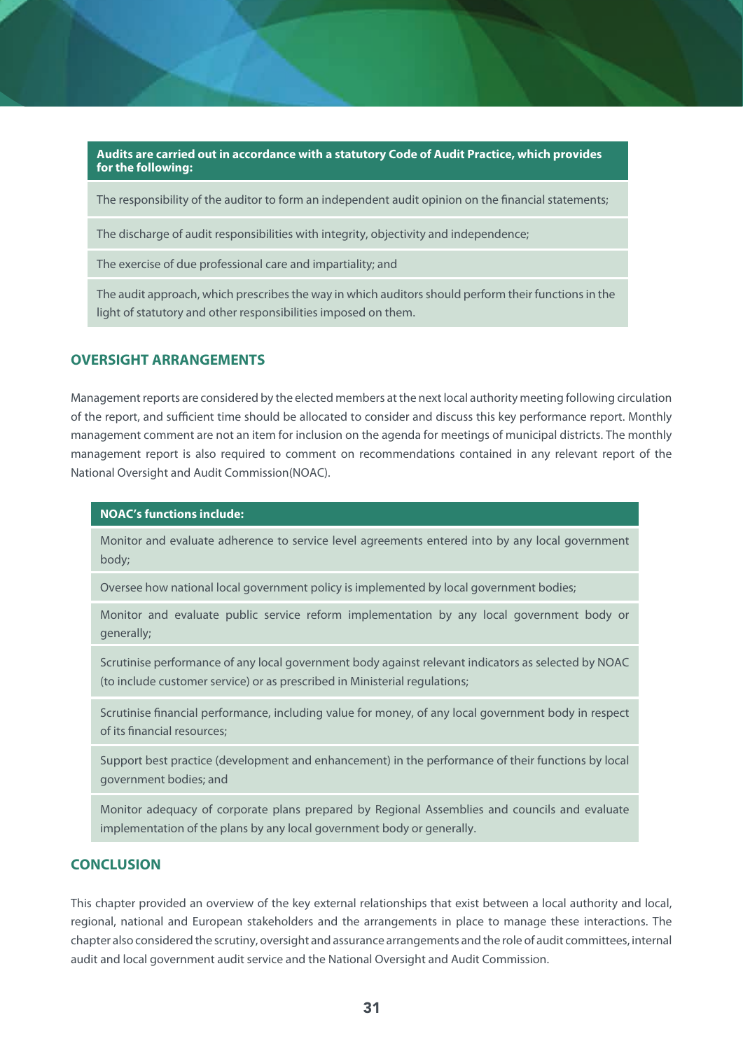**Audits are carried out in accordance with a statutory Code of Audit Practice, which provides for the following:**

The responsibility of the auditor to form an independent audit opinion on the financial statements;

The discharge of audit responsibilities with integrity, objectivity and independence;

The exercise of due professional care and impartiality; and

The audit approach, which prescribes the way in which auditors should perform their functions in the light of statutory and other responsibilities imposed on them.

#### **OVERSIGHT ARRANGEMENTS**

Management reports are considered by the elected members at the next local authority meeting following circulation of the report, and sufficient time should be allocated to consider and discuss this key performance report. Monthly management comment are not an item for inclusion on the agenda for meetings of municipal districts. The monthly management report is also required to comment on recommendations contained in any relevant report of the National Oversight and Audit Commission(NOAC).

#### **NOAC's functions include:**

Monitor and evaluate adherence to service level agreements entered into by any local government body;

Oversee how national local government policy is implemented by local government bodies;

Monitor and evaluate public service reform implementation by any local government body or generally;

Scrutinise performance of any local government body against relevant indicators as selected by NOAC (to include customer service) or as prescribed in Ministerial regulations;

Scrutinise financial performance, including value for money, of any local government body in respect of its financial resources;

Support best practice (development and enhancement) in the performance of their functions by local government bodies; and

Monitor adequacy of corporate plans prepared by Regional Assemblies and councils and evaluate implementation of the plans by any local government body or generally.

#### **CONCLUSION**

This chapter provided an overview of the key external relationships that exist between a local authority and local, regional, national and European stakeholders and the arrangements in place to manage these interactions. The chapter also considered the scrutiny, oversight and assurance arrangements and the role of audit committees, internal audit and local government audit service and the National Oversight and Audit Commission.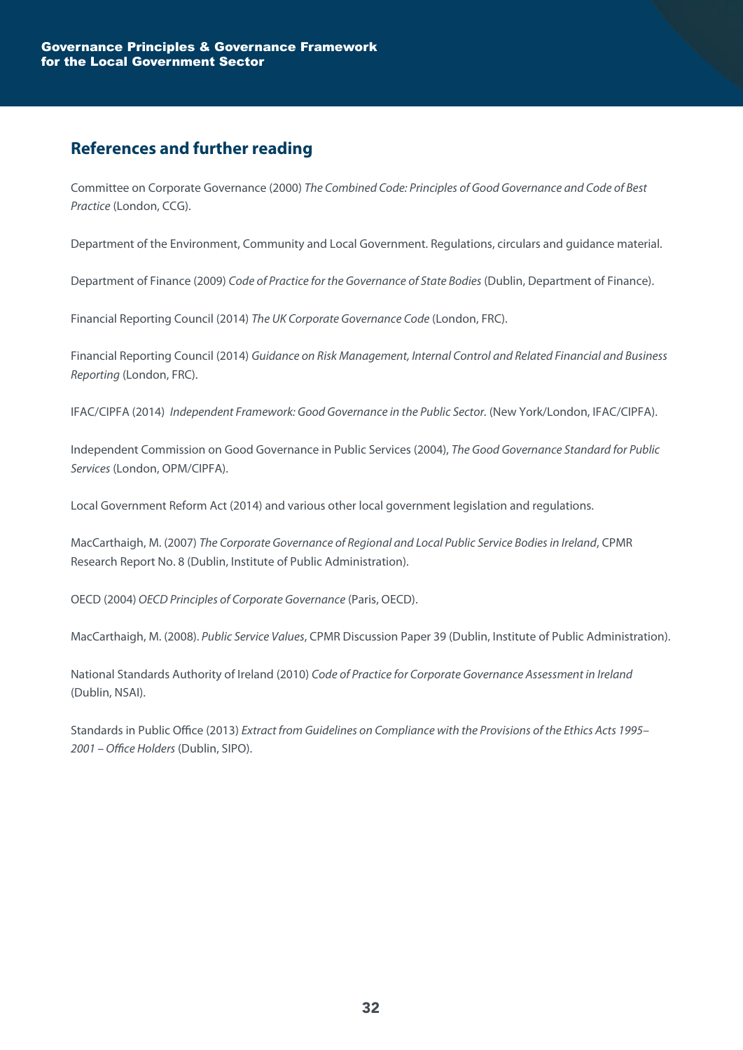## **References and further reading**

Committee on Corporate Governance (2000) *The Combined Code: Principles of Good Governance and Code of Best Practice* (London, CCG).

Department of the Environment, Community and Local Government. Regulations, circulars and guidance material.

Department of Finance (2009) *Code of Practice for the Governance of State Bodies* (Dublin, Department of Finance).

Financial Reporting Council (2014) *The UK Corporate Governance Code* (London, FRC).

Financial Reporting Council (2014) *Guidance on Risk Management, Internal Control and Related Financial and Business Reporting* (London, FRC).

IFAC/CIPFA (2014) *Independent Framework: Good Governance in the Public Sector.* (New York/London, IFAC/CIPFA).

Independent Commission on Good Governance in Public Services (2004), *The Good Governance Standard for Public Services* (London, OPM/CIPFA).

Local Government Reform Act (2014) and various other local government legislation and regulations.

MacCarthaigh, M. (2007) *The Corporate Governance of Regional and Local Public Service Bodies in Ireland*, CPMR Research Report No. 8 (Dublin, Institute of Public Administration).

OECD (2004) *OECD Principles of Corporate Governance* (Paris, OECD).

MacCarthaigh, M. (2008). *Public Service Values*, CPMR Discussion Paper 39 (Dublin, Institute of Public Administration).

National Standards Authority of Ireland (2010) *Code of Practice for Corporate Governance Assessment in Ireland*  (Dublin, NSAI).

Standards in Public Office (2013) *Extract from Guidelines on Compliance with the Provisions of the Ethics Acts 1995– 2001 – Office Holders* (Dublin, SIPO).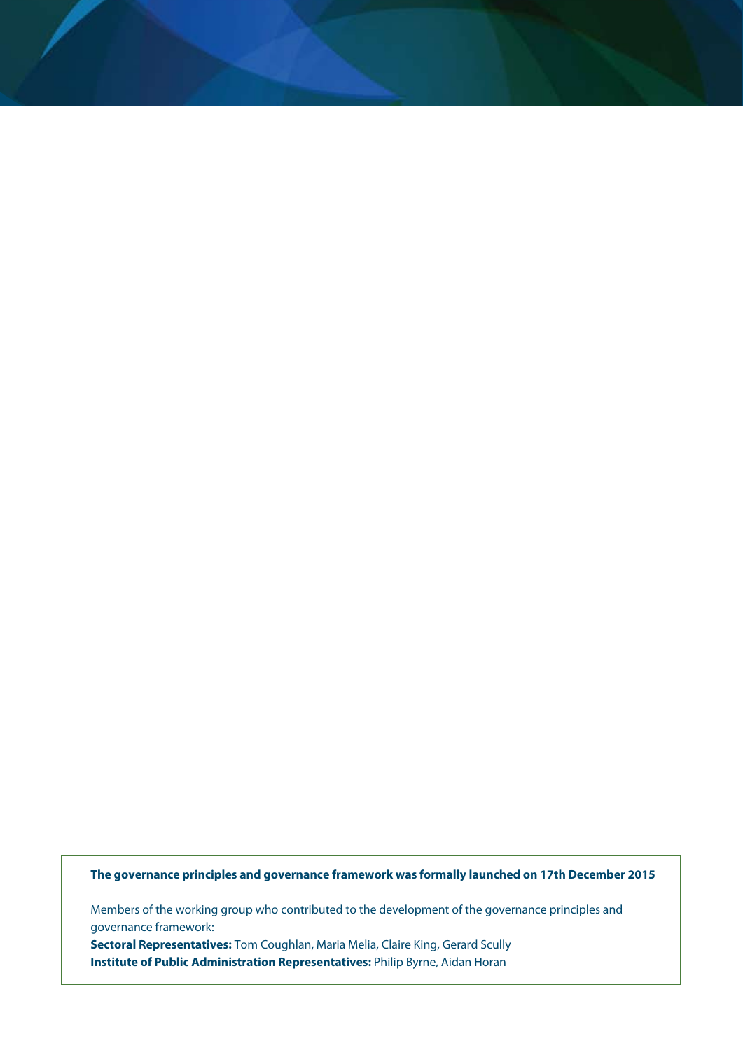**The governance principles and governance framework was formally launched on 17th December 2015** 

Members of the working group who contributed to the development of the governance principles and governance framework:

**Sectoral Representatives:** Tom Coughlan, Maria Melia, Claire King, Gerard Scully **Institute of Public Administration Representatives:** Philip Byrne, Aidan Horan